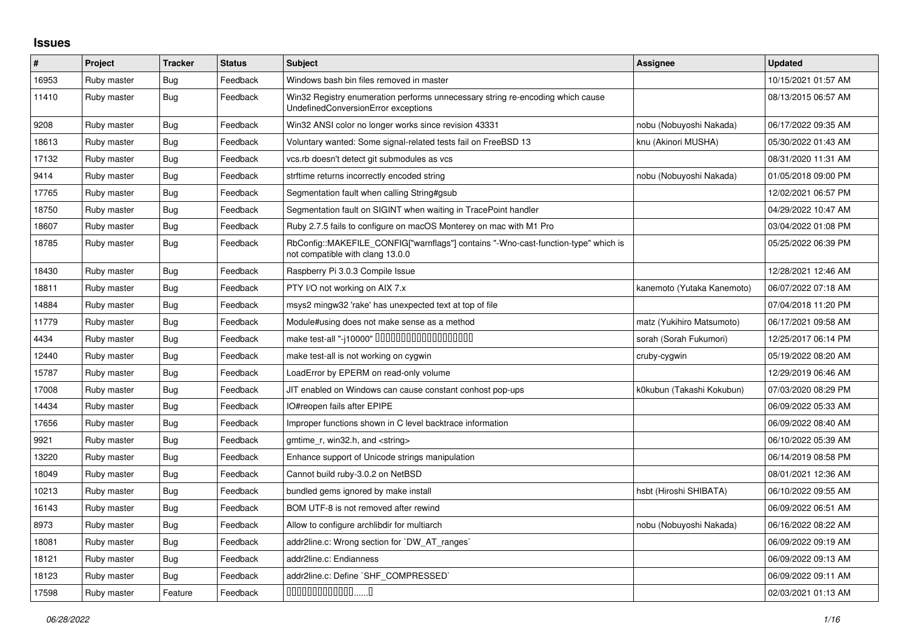## **Issues**

| $\sharp$ | Project     | <b>Tracker</b> | <b>Status</b> | <b>Subject</b>                                                                                                         | <b>Assignee</b>            | <b>Updated</b>      |
|----------|-------------|----------------|---------------|------------------------------------------------------------------------------------------------------------------------|----------------------------|---------------------|
| 16953    | Ruby master | Bug            | Feedback      | Windows bash bin files removed in master                                                                               |                            | 10/15/2021 01:57 AM |
| 11410    | Ruby master | Bug            | Feedback      | Win32 Registry enumeration performs unnecessary string re-encoding which cause<br>UndefinedConversionError exceptions  |                            | 08/13/2015 06:57 AM |
| 9208     | Ruby master | Bug            | Feedback      | Win32 ANSI color no longer works since revision 43331                                                                  | nobu (Nobuyoshi Nakada)    | 06/17/2022 09:35 AM |
| 18613    | Ruby master | Bug            | Feedback      | Voluntary wanted: Some signal-related tests fail on FreeBSD 13                                                         | knu (Akinori MUSHA)        | 05/30/2022 01:43 AM |
| 17132    | Ruby master | Bug            | Feedback      | vcs.rb doesn't detect git submodules as vcs                                                                            |                            | 08/31/2020 11:31 AM |
| 9414     | Ruby master | Bug            | Feedback      | strftime returns incorrectly encoded string                                                                            | nobu (Nobuyoshi Nakada)    | 01/05/2018 09:00 PM |
| 17765    | Ruby master | Bug            | Feedback      | Segmentation fault when calling String#gsub                                                                            |                            | 12/02/2021 06:57 PM |
| 18750    | Ruby master | Bug            | Feedback      | Segmentation fault on SIGINT when waiting in TracePoint handler                                                        |                            | 04/29/2022 10:47 AM |
| 18607    | Ruby master | Bug            | Feedback      | Ruby 2.7.5 fails to configure on macOS Monterey on mac with M1 Pro                                                     |                            | 03/04/2022 01:08 PM |
| 18785    | Ruby master | <b>Bug</b>     | Feedback      | RbConfig::MAKEFILE_CONFIG["warnflags"] contains "-Wno-cast-function-type" which is<br>not compatible with clang 13.0.0 |                            | 05/25/2022 06:39 PM |
| 18430    | Ruby master | Bug            | Feedback      | Raspberry Pi 3.0.3 Compile Issue                                                                                       |                            | 12/28/2021 12:46 AM |
| 18811    | Ruby master | Bug            | Feedback      | PTY I/O not working on AIX 7.x                                                                                         | kanemoto (Yutaka Kanemoto) | 06/07/2022 07:18 AM |
| 14884    | Ruby master | Bug            | Feedback      | msys2 mingw32 'rake' has unexpected text at top of file                                                                |                            | 07/04/2018 11:20 PM |
| 11779    | Ruby master | <b>Bug</b>     | Feedback      | Module#using does not make sense as a method                                                                           | matz (Yukihiro Matsumoto)  | 06/17/2021 09:58 AM |
| 4434     | Ruby master | Bug            | Feedback      | make test-all "-j10000" DODODODODODODODODO                                                                             | sorah (Sorah Fukumori)     | 12/25/2017 06:14 PM |
| 12440    | Ruby master | Bug            | Feedback      | make test-all is not working on cygwin                                                                                 | cruby-cygwin               | 05/19/2022 08:20 AM |
| 15787    | Ruby master | <b>Bug</b>     | Feedback      | LoadError by EPERM on read-only volume                                                                                 |                            | 12/29/2019 06:46 AM |
| 17008    | Ruby master | Bug            | Feedback      | JIT enabled on Windows can cause constant conhost pop-ups                                                              | k0kubun (Takashi Kokubun)  | 07/03/2020 08:29 PM |
| 14434    | Ruby master | Bug            | Feedback      | IO#reopen fails after EPIPE                                                                                            |                            | 06/09/2022 05:33 AM |
| 17656    | Ruby master | Bug            | Feedback      | Improper functions shown in C level backtrace information                                                              |                            | 06/09/2022 08:40 AM |
| 9921     | Ruby master | <b>Bug</b>     | Feedback      | gmtime_r, win32.h, and <string></string>                                                                               |                            | 06/10/2022 05:39 AM |
| 13220    | Ruby master | <b>Bug</b>     | Feedback      | Enhance support of Unicode strings manipulation                                                                        |                            | 06/14/2019 08:58 PM |
| 18049    | Ruby master | Bug            | Feedback      | Cannot build ruby-3.0.2 on NetBSD                                                                                      |                            | 08/01/2021 12:36 AM |
| 10213    | Ruby master | Bug            | Feedback      | bundled gems ignored by make install                                                                                   | hsbt (Hiroshi SHIBATA)     | 06/10/2022 09:55 AM |
| 16143    | Ruby master | Bug            | Feedback      | BOM UTF-8 is not removed after rewind                                                                                  |                            | 06/09/2022 06:51 AM |
| 8973     | Ruby master | Bug            | Feedback      | Allow to configure archlibdir for multiarch                                                                            | nobu (Nobuyoshi Nakada)    | 06/16/2022 08:22 AM |
| 18081    | Ruby master | Bug            | Feedback      | addr2line.c: Wrong section for `DW_AT_ranges`                                                                          |                            | 06/09/2022 09:19 AM |
| 18121    | Ruby master | Bug            | Feedback      | addr2line.c: Endianness                                                                                                |                            | 06/09/2022 09:13 AM |
| 18123    | Ruby master | Bug            | Feedback      | addr2line.c: Define `SHF_COMPRESSED`                                                                                   |                            | 06/09/2022 09:11 AM |
| 17598    | Ruby master | Feature        | Feedback      | $0000000000000010$                                                                                                     |                            | 02/03/2021 01:13 AM |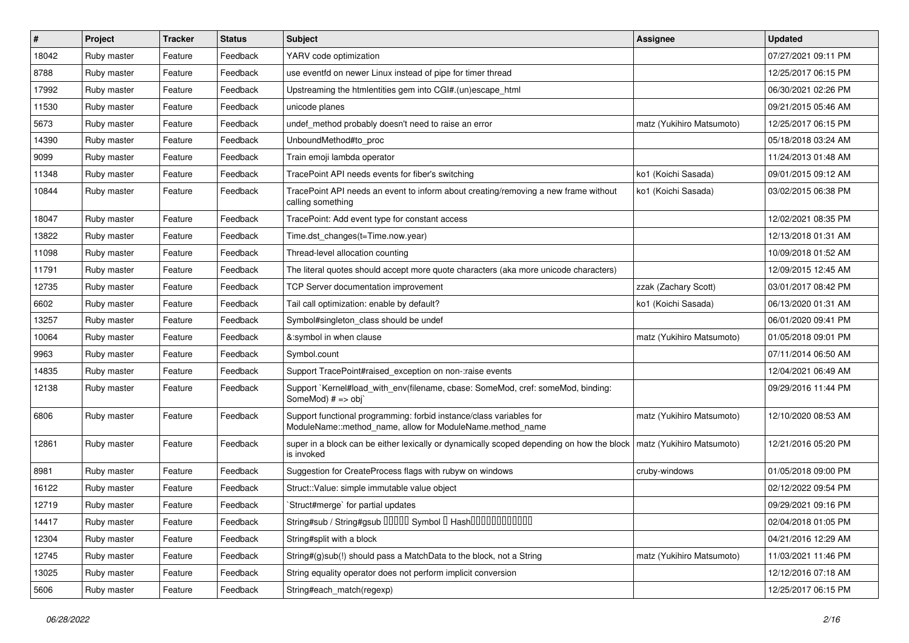| #     | Project     | <b>Tracker</b> | <b>Status</b> | Subject                                                                                                                             | Assignee                  | <b>Updated</b>      |
|-------|-------------|----------------|---------------|-------------------------------------------------------------------------------------------------------------------------------------|---------------------------|---------------------|
| 18042 | Ruby master | Feature        | Feedback      | YARV code optimization                                                                                                              |                           | 07/27/2021 09:11 PM |
| 8788  | Ruby master | Feature        | Feedback      | use eventfd on newer Linux instead of pipe for timer thread                                                                         |                           | 12/25/2017 06:15 PM |
| 17992 | Ruby master | Feature        | Feedback      | Upstreaming the htmlentities gem into CGI#.(un)escape_html                                                                          |                           | 06/30/2021 02:26 PM |
| 11530 | Ruby master | Feature        | Feedback      | unicode planes                                                                                                                      |                           | 09/21/2015 05:46 AM |
| 5673  | Ruby master | Feature        | Feedback      | undef method probably doesn't need to raise an error                                                                                | matz (Yukihiro Matsumoto) | 12/25/2017 06:15 PM |
| 14390 | Ruby master | Feature        | Feedback      | UnboundMethod#to_proc                                                                                                               |                           | 05/18/2018 03:24 AM |
| 9099  | Ruby master | Feature        | Feedback      | Train emoji lambda operator                                                                                                         |                           | 11/24/2013 01:48 AM |
| 11348 | Ruby master | Feature        | Feedback      | TracePoint API needs events for fiber's switching                                                                                   | ko1 (Koichi Sasada)       | 09/01/2015 09:12 AM |
| 10844 | Ruby master | Feature        | Feedback      | TracePoint API needs an event to inform about creating/removing a new frame without<br>calling something                            | ko1 (Koichi Sasada)       | 03/02/2015 06:38 PM |
| 18047 | Ruby master | Feature        | Feedback      | TracePoint: Add event type for constant access                                                                                      |                           | 12/02/2021 08:35 PM |
| 13822 | Ruby master | Feature        | Feedback      | Time.dst_changes(t=Time.now.year)                                                                                                   |                           | 12/13/2018 01:31 AM |
| 11098 | Ruby master | Feature        | Feedback      | Thread-level allocation counting                                                                                                    |                           | 10/09/2018 01:52 AM |
| 11791 | Ruby master | Feature        | Feedback      | The literal quotes should accept more quote characters (aka more unicode characters)                                                |                           | 12/09/2015 12:45 AM |
| 12735 | Ruby master | Feature        | Feedback      | TCP Server documentation improvement                                                                                                | zzak (Zachary Scott)      | 03/01/2017 08:42 PM |
| 6602  | Ruby master | Feature        | Feedback      | Tail call optimization: enable by default?                                                                                          | ko1 (Koichi Sasada)       | 06/13/2020 01:31 AM |
| 13257 | Ruby master | Feature        | Feedback      | Symbol#singleton class should be undef                                                                                              |                           | 06/01/2020 09:41 PM |
| 10064 | Ruby master | Feature        | Feedback      | &:symbol in when clause                                                                                                             | matz (Yukihiro Matsumoto) | 01/05/2018 09:01 PM |
| 9963  | Ruby master | Feature        | Feedback      | Symbol.count                                                                                                                        |                           | 07/11/2014 06:50 AM |
| 14835 | Ruby master | Feature        | Feedback      | Support TracePoint#raised exception on non-:raise events                                                                            |                           | 12/04/2021 06:49 AM |
| 12138 | Ruby master | Feature        | Feedback      | Support `Kernel#load_with_env(filename, cbase: SomeMod, cref: someMod, binding:<br>SomeMod) # => obj`                               |                           | 09/29/2016 11:44 PM |
| 6806  | Ruby master | Feature        | Feedback      | Support functional programming: forbid instance/class variables for<br>ModuleName::method_name, allow for ModuleName.method_name    | matz (Yukihiro Matsumoto) | 12/10/2020 08:53 AM |
| 12861 | Ruby master | Feature        | Feedback      | super in a block can be either lexically or dynamically scoped depending on how the block   matz (Yukihiro Matsumoto)<br>is invoked |                           | 12/21/2016 05:20 PM |
| 8981  | Ruby master | Feature        | Feedback      | Suggestion for CreateProcess flags with rubyw on windows                                                                            | cruby-windows             | 01/05/2018 09:00 PM |
| 16122 | Ruby master | Feature        | Feedback      | Struct::Value: simple immutable value object                                                                                        |                           | 02/12/2022 09:54 PM |
| 12719 | Ruby master | Feature        | Feedback      | Struct#merge` for partial updates                                                                                                   |                           | 09/29/2021 09:16 PM |
| 14417 | Ruby master | Feature        | Feedback      | String#sub / String#gsub 00000 Symbol 0 Hash0000000000000000                                                                        |                           | 02/04/2018 01:05 PM |
| 12304 | Ruby master | Feature        | Feedback      | String#split with a block                                                                                                           |                           | 04/21/2016 12:29 AM |
| 12745 | Ruby master | Feature        | Feedback      | String#(g)sub(!) should pass a MatchData to the block, not a String                                                                 | matz (Yukihiro Matsumoto) | 11/03/2021 11:46 PM |
| 13025 | Ruby master | Feature        | Feedback      | String equality operator does not perform implicit conversion                                                                       |                           | 12/12/2016 07:18 AM |
| 5606  | Ruby master | Feature        | Feedback      | String#each_match(regexp)                                                                                                           |                           | 12/25/2017 06:15 PM |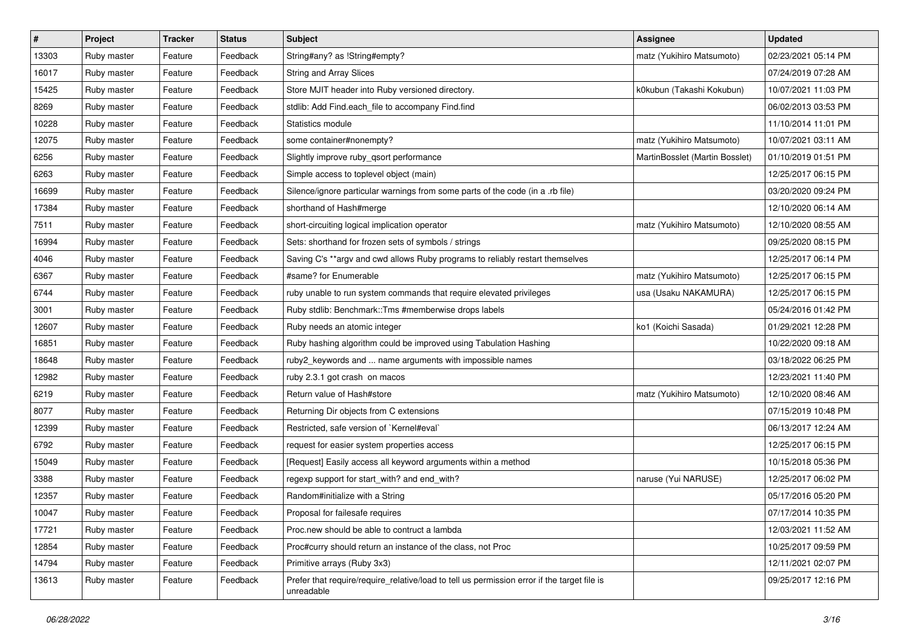| $\vert$ # | Project     | <b>Tracker</b> | <b>Status</b> | Subject                                                                                                   | Assignee                       | <b>Updated</b>      |
|-----------|-------------|----------------|---------------|-----------------------------------------------------------------------------------------------------------|--------------------------------|---------------------|
| 13303     | Ruby master | Feature        | Feedback      | String#any? as !String#empty?                                                                             | matz (Yukihiro Matsumoto)      | 02/23/2021 05:14 PM |
| 16017     | Ruby master | Feature        | Feedback      | <b>String and Array Slices</b>                                                                            |                                | 07/24/2019 07:28 AM |
| 15425     | Ruby master | Feature        | Feedback      | Store MJIT header into Ruby versioned directory.                                                          | k0kubun (Takashi Kokubun)      | 10/07/2021 11:03 PM |
| 8269      | Ruby master | Feature        | Feedback      | stdlib: Add Find.each_file to accompany Find.find                                                         |                                | 06/02/2013 03:53 PM |
| 10228     | Ruby master | Feature        | Feedback      | Statistics module                                                                                         |                                | 11/10/2014 11:01 PM |
| 12075     | Ruby master | Feature        | Feedback      | some container#nonempty?                                                                                  | matz (Yukihiro Matsumoto)      | 10/07/2021 03:11 AM |
| 6256      | Ruby master | Feature        | Feedback      | Slightly improve ruby_qsort performance                                                                   | MartinBosslet (Martin Bosslet) | 01/10/2019 01:51 PM |
| 6263      | Ruby master | Feature        | Feedback      | Simple access to toplevel object (main)                                                                   |                                | 12/25/2017 06:15 PM |
| 16699     | Ruby master | Feature        | Feedback      | Silence/ignore particular warnings from some parts of the code (in a .rb file)                            |                                | 03/20/2020 09:24 PM |
| 17384     | Ruby master | Feature        | Feedback      | shorthand of Hash#merge                                                                                   |                                | 12/10/2020 06:14 AM |
| 7511      | Ruby master | Feature        | Feedback      | short-circuiting logical implication operator                                                             | matz (Yukihiro Matsumoto)      | 12/10/2020 08:55 AM |
| 16994     | Ruby master | Feature        | Feedback      | Sets: shorthand for frozen sets of symbols / strings                                                      |                                | 09/25/2020 08:15 PM |
| 4046      | Ruby master | Feature        | Feedback      | Saving C's ** argv and cwd allows Ruby programs to reliably restart themselves                            |                                | 12/25/2017 06:14 PM |
| 6367      | Ruby master | Feature        | Feedback      | #same? for Enumerable                                                                                     | matz (Yukihiro Matsumoto)      | 12/25/2017 06:15 PM |
| 6744      | Ruby master | Feature        | Feedback      | ruby unable to run system commands that require elevated privileges                                       | usa (Usaku NAKAMURA)           | 12/25/2017 06:15 PM |
| 3001      | Ruby master | Feature        | Feedback      | Ruby stdlib: Benchmark::Tms #memberwise drops labels                                                      |                                | 05/24/2016 01:42 PM |
| 12607     | Ruby master | Feature        | Feedback      | Ruby needs an atomic integer                                                                              | ko1 (Koichi Sasada)            | 01/29/2021 12:28 PM |
| 16851     | Ruby master | Feature        | Feedback      | Ruby hashing algorithm could be improved using Tabulation Hashing                                         |                                | 10/22/2020 09:18 AM |
| 18648     | Ruby master | Feature        | Feedback      | ruby2_keywords and  name arguments with impossible names                                                  |                                | 03/18/2022 06:25 PM |
| 12982     | Ruby master | Feature        | Feedback      | ruby 2.3.1 got crash on macos                                                                             |                                | 12/23/2021 11:40 PM |
| 6219      | Ruby master | Feature        | Feedback      | Return value of Hash#store                                                                                | matz (Yukihiro Matsumoto)      | 12/10/2020 08:46 AM |
| 8077      | Ruby master | Feature        | Feedback      | Returning Dir objects from C extensions                                                                   |                                | 07/15/2019 10:48 PM |
| 12399     | Ruby master | Feature        | Feedback      | Restricted, safe version of `Kernel#eval`                                                                 |                                | 06/13/2017 12:24 AM |
| 6792      | Ruby master | Feature        | Feedback      | request for easier system properties access                                                               |                                | 12/25/2017 06:15 PM |
| 15049     | Ruby master | Feature        | Feedback      | [Request] Easily access all keyword arguments within a method                                             |                                | 10/15/2018 05:36 PM |
| 3388      | Ruby master | Feature        | Feedback      | regexp support for start_with? and end_with?                                                              | naruse (Yui NARUSE)            | 12/25/2017 06:02 PM |
| 12357     | Ruby master | Feature        | Feedback      | Random#initialize with a String                                                                           |                                | 05/17/2016 05:20 PM |
| 10047     | Ruby master | Feature        | Feedback      | Proposal for failesafe requires                                                                           |                                | 07/17/2014 10:35 PM |
| 17721     | Ruby master | Feature        | Feedback      | Proc.new should be able to contruct a lambda                                                              |                                | 12/03/2021 11:52 AM |
| 12854     | Ruby master | Feature        | Feedback      | Proc#curry should return an instance of the class, not Proc                                               |                                | 10/25/2017 09:59 PM |
| 14794     | Ruby master | Feature        | Feedback      | Primitive arrays (Ruby 3x3)                                                                               |                                | 12/11/2021 02:07 PM |
| 13613     | Ruby master | Feature        | Feedback      | Prefer that require/require_relative/load to tell us permission error if the target file is<br>unreadable |                                | 09/25/2017 12:16 PM |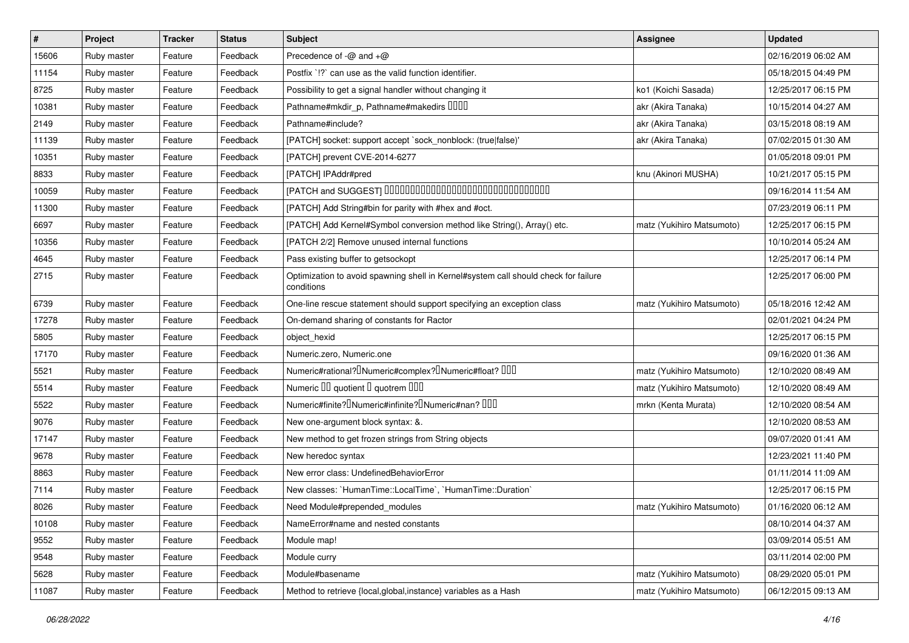| $\vert$ # | Project     | <b>Tracker</b> | <b>Status</b> | Subject                                                                                           | Assignee                  | <b>Updated</b>      |
|-----------|-------------|----------------|---------------|---------------------------------------------------------------------------------------------------|---------------------------|---------------------|
| 15606     | Ruby master | Feature        | Feedback      | Precedence of -@ and +@                                                                           |                           | 02/16/2019 06:02 AM |
| 11154     | Ruby master | Feature        | Feedback      | Postfix '!?' can use as the valid function identifier.                                            |                           | 05/18/2015 04:49 PM |
| 8725      | Ruby master | Feature        | Feedback      | Possibility to get a signal handler without changing it                                           | ko1 (Koichi Sasada)       | 12/25/2017 06:15 PM |
| 10381     | Ruby master | Feature        | Feedback      | Pathname#mkdir_p, Pathname#makedirs DDDD                                                          | akr (Akira Tanaka)        | 10/15/2014 04:27 AM |
| 2149      | Ruby master | Feature        | Feedback      | Pathname#include?                                                                                 | akr (Akira Tanaka)        | 03/15/2018 08:19 AM |
| 11139     | Ruby master | Feature        | Feedback      | [PATCH] socket: support accept `sock_nonblock: (true false)'                                      | akr (Akira Tanaka)        | 07/02/2015 01:30 AM |
| 10351     | Ruby master | Feature        | Feedback      | [PATCH] prevent CVE-2014-6277                                                                     |                           | 01/05/2018 09:01 PM |
| 8833      | Ruby master | Feature        | Feedback      | [PATCH] IPAddr#pred                                                                               | knu (Akinori MUSHA)       | 10/21/2017 05:15 PM |
| 10059     | Ruby master | Feature        | Feedback      | [PATCH and SUGGEST] 0000000000000000000000000000000                                               |                           | 09/16/2014 11:54 AM |
| 11300     | Ruby master | Feature        | Feedback      | [PATCH] Add String#bin for parity with #hex and #oct.                                             |                           | 07/23/2019 06:11 PM |
| 6697      | Ruby master | Feature        | Feedback      | [PATCH] Add Kernel#Symbol conversion method like String(), Array() etc.                           | matz (Yukihiro Matsumoto) | 12/25/2017 06:15 PM |
| 10356     | Ruby master | Feature        | Feedback      | [PATCH 2/2] Remove unused internal functions                                                      |                           | 10/10/2014 05:24 AM |
| 4645      | Ruby master | Feature        | Feedback      | Pass existing buffer to getsockopt                                                                |                           | 12/25/2017 06:14 PM |
| 2715      | Ruby master | Feature        | Feedback      | Optimization to avoid spawning shell in Kernel#system call should check for failure<br>conditions |                           | 12/25/2017 06:00 PM |
| 6739      | Ruby master | Feature        | Feedback      | One-line rescue statement should support specifying an exception class                            | matz (Yukihiro Matsumoto) | 05/18/2016 12:42 AM |
| 17278     | Ruby master | Feature        | Feedback      | On-demand sharing of constants for Ractor                                                         |                           | 02/01/2021 04:24 PM |
| 5805      | Ruby master | Feature        | Feedback      | object_hexid                                                                                      |                           | 12/25/2017 06:15 PM |
| 17170     | Ruby master | Feature        | Feedback      | Numeric.zero, Numeric.one                                                                         |                           | 09/16/2020 01:36 AM |
| 5521      | Ruby master | Feature        | Feedback      | Numeric#rational? <sup>[</sup> Numeric#complex? <sup>[</sup> Numeric#float? <sup>[10]</sup>       | matz (Yukihiro Matsumoto) | 12/10/2020 08:49 AM |
| 5514      | Ruby master | Feature        | Feedback      | Numeric III quotient I quotrem IIII                                                               | matz (Yukihiro Matsumoto) | 12/10/2020 08:49 AM |
| 5522      | Ruby master | Feature        | Feedback      | Numeric#finite? UNumeric#infinite? UNumeric#nan? UUU                                              | mrkn (Kenta Murata)       | 12/10/2020 08:54 AM |
| 9076      | Ruby master | Feature        | Feedback      | New one-argument block syntax: &.                                                                 |                           | 12/10/2020 08:53 AM |
| 17147     | Ruby master | Feature        | Feedback      | New method to get frozen strings from String objects                                              |                           | 09/07/2020 01:41 AM |
| 9678      | Ruby master | Feature        | Feedback      | New heredoc syntax                                                                                |                           | 12/23/2021 11:40 PM |
| 8863      | Ruby master | Feature        | Feedback      | New error class: UndefinedBehaviorError                                                           |                           | 01/11/2014 11:09 AM |
| 7114      | Ruby master | Feature        | Feedback      | New classes: `HumanTime::LocalTime`, `HumanTime::Duration`                                        |                           | 12/25/2017 06:15 PM |
| 8026      | Ruby master | Feature        | Feedback      | Need Module#prepended modules                                                                     | matz (Yukihiro Matsumoto) | 01/16/2020 06:12 AM |
| 10108     | Ruby master | Feature        | Feedback      | NameError#name and nested constants                                                               |                           | 08/10/2014 04:37 AM |
| 9552      | Ruby master | Feature        | Feedback      | Module map!                                                                                       |                           | 03/09/2014 05:51 AM |
| 9548      | Ruby master | Feature        | Feedback      | Module curry                                                                                      |                           | 03/11/2014 02:00 PM |
| 5628      | Ruby master | Feature        | Feedback      | Module#basename                                                                                   | matz (Yukihiro Matsumoto) | 08/29/2020 05:01 PM |
| 11087     | Ruby master | Feature        | Feedback      | Method to retrieve {local, global, instance} variables as a Hash                                  | matz (Yukihiro Matsumoto) | 06/12/2015 09:13 AM |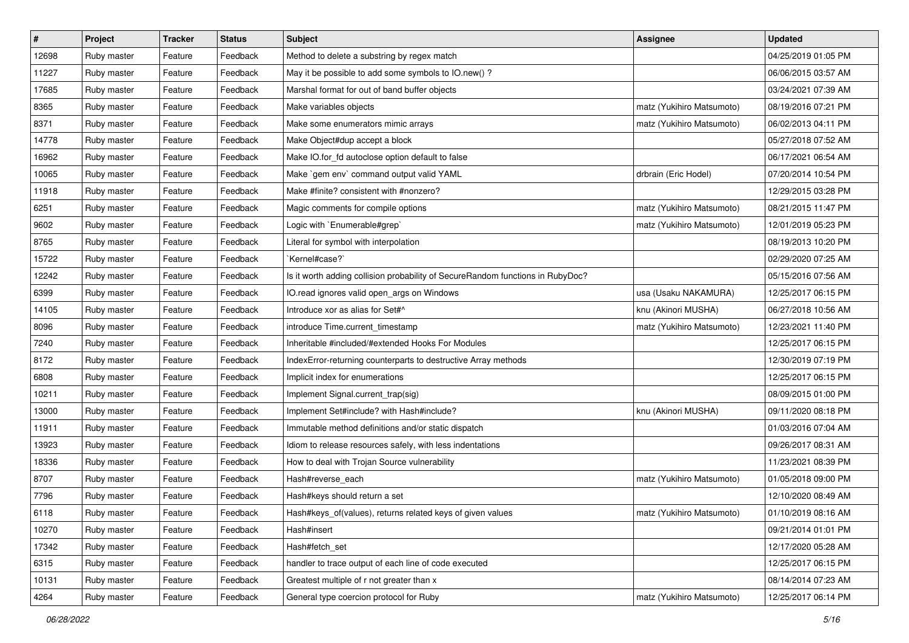| $\vert$ # | Project     | <b>Tracker</b> | <b>Status</b> | Subject                                                                        | Assignee                  | <b>Updated</b>      |
|-----------|-------------|----------------|---------------|--------------------------------------------------------------------------------|---------------------------|---------------------|
| 12698     | Ruby master | Feature        | Feedback      | Method to delete a substring by regex match                                    |                           | 04/25/2019 01:05 PM |
| 11227     | Ruby master | Feature        | Feedback      | May it be possible to add some symbols to IO.new() ?                           |                           | 06/06/2015 03:57 AM |
| 17685     | Ruby master | Feature        | Feedback      | Marshal format for out of band buffer objects                                  |                           | 03/24/2021 07:39 AM |
| 8365      | Ruby master | Feature        | Feedback      | Make variables objects                                                         | matz (Yukihiro Matsumoto) | 08/19/2016 07:21 PM |
| 8371      | Ruby master | Feature        | Feedback      | Make some enumerators mimic arrays                                             | matz (Yukihiro Matsumoto) | 06/02/2013 04:11 PM |
| 14778     | Ruby master | Feature        | Feedback      | Make Object#dup accept a block                                                 |                           | 05/27/2018 07:52 AM |
| 16962     | Ruby master | Feature        | Feedback      | Make IO.for_fd autoclose option default to false                               |                           | 06/17/2021 06:54 AM |
| 10065     | Ruby master | Feature        | Feedback      | Make `gem env` command output valid YAML                                       | drbrain (Eric Hodel)      | 07/20/2014 10:54 PM |
| 11918     | Ruby master | Feature        | Feedback      | Make #finite? consistent with #nonzero?                                        |                           | 12/29/2015 03:28 PM |
| 6251      | Ruby master | Feature        | Feedback      | Magic comments for compile options                                             | matz (Yukihiro Matsumoto) | 08/21/2015 11:47 PM |
| 9602      | Ruby master | Feature        | Feedback      | Logic with `Enumerable#grep`                                                   | matz (Yukihiro Matsumoto) | 12/01/2019 05:23 PM |
| 8765      | Ruby master | Feature        | Feedback      | Literal for symbol with interpolation                                          |                           | 08/19/2013 10:20 PM |
| 15722     | Ruby master | Feature        | Feedback      | `Kernel#case?`                                                                 |                           | 02/29/2020 07:25 AM |
| 12242     | Ruby master | Feature        | Feedback      | Is it worth adding collision probability of SecureRandom functions in RubyDoc? |                           | 05/15/2016 07:56 AM |
| 6399      | Ruby master | Feature        | Feedback      | IO.read ignores valid open_args on Windows                                     | usa (Usaku NAKAMURA)      | 12/25/2017 06:15 PM |
| 14105     | Ruby master | Feature        | Feedback      | Introduce xor as alias for Set#^                                               | knu (Akinori MUSHA)       | 06/27/2018 10:56 AM |
| 8096      | Ruby master | Feature        | Feedback      | introduce Time.current timestamp                                               | matz (Yukihiro Matsumoto) | 12/23/2021 11:40 PM |
| 7240      | Ruby master | Feature        | Feedback      | Inheritable #included/#extended Hooks For Modules                              |                           | 12/25/2017 06:15 PM |
| 8172      | Ruby master | Feature        | Feedback      | IndexError-returning counterparts to destructive Array methods                 |                           | 12/30/2019 07:19 PM |
| 6808      | Ruby master | Feature        | Feedback      | Implicit index for enumerations                                                |                           | 12/25/2017 06:15 PM |
| 10211     | Ruby master | Feature        | Feedback      | Implement Signal.current_trap(sig)                                             |                           | 08/09/2015 01:00 PM |
| 13000     | Ruby master | Feature        | Feedback      | Implement Set#include? with Hash#include?                                      | knu (Akinori MUSHA)       | 09/11/2020 08:18 PM |
| 11911     | Ruby master | Feature        | Feedback      | Immutable method definitions and/or static dispatch                            |                           | 01/03/2016 07:04 AM |
| 13923     | Ruby master | Feature        | Feedback      | Idiom to release resources safely, with less indentations                      |                           | 09/26/2017 08:31 AM |
| 18336     | Ruby master | Feature        | Feedback      | How to deal with Trojan Source vulnerability                                   |                           | 11/23/2021 08:39 PM |
| 8707      | Ruby master | Feature        | Feedback      | Hash#reverse_each                                                              | matz (Yukihiro Matsumoto) | 01/05/2018 09:00 PM |
| 7796      | Ruby master | Feature        | Feedback      | Hash#keys should return a set                                                  |                           | 12/10/2020 08:49 AM |
| 6118      | Ruby master | Feature        | Feedback      | Hash#keys_of(values), returns related keys of given values                     | matz (Yukihiro Matsumoto) | 01/10/2019 08:16 AM |
| 10270     | Ruby master | Feature        | Feedback      | Hash#insert                                                                    |                           | 09/21/2014 01:01 PM |
| 17342     | Ruby master | Feature        | Feedback      | Hash#fetch set                                                                 |                           | 12/17/2020 05:28 AM |
| 6315      | Ruby master | Feature        | Feedback      | handler to trace output of each line of code executed                          |                           | 12/25/2017 06:15 PM |
| 10131     | Ruby master | Feature        | Feedback      | Greatest multiple of r not greater than x                                      |                           | 08/14/2014 07:23 AM |
| 4264      | Ruby master | Feature        | Feedback      | General type coercion protocol for Ruby                                        | matz (Yukihiro Matsumoto) | 12/25/2017 06:14 PM |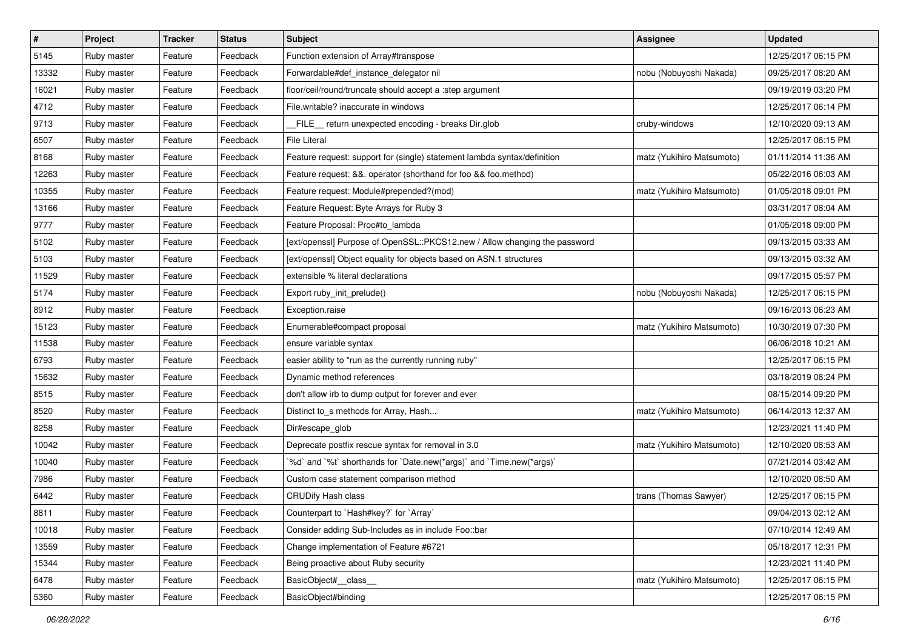| $\vert$ # | Project     | <b>Tracker</b> | <b>Status</b> | Subject                                                                    | Assignee                  | <b>Updated</b>      |
|-----------|-------------|----------------|---------------|----------------------------------------------------------------------------|---------------------------|---------------------|
| 5145      | Ruby master | Feature        | Feedback      | Function extension of Array#transpose                                      |                           | 12/25/2017 06:15 PM |
| 13332     | Ruby master | Feature        | Feedback      | Forwardable#def_instance_delegator nil                                     | nobu (Nobuyoshi Nakada)   | 09/25/2017 08:20 AM |
| 16021     | Ruby master | Feature        | Feedback      | floor/ceil/round/truncate should accept a :step argument                   |                           | 09/19/2019 03:20 PM |
| 4712      | Ruby master | Feature        | Feedback      | File.writable? inaccurate in windows                                       |                           | 12/25/2017 06:14 PM |
| 9713      | Ruby master | Feature        | Feedback      | FILE_ return unexpected encoding - breaks Dir.glob                         | cruby-windows             | 12/10/2020 09:13 AM |
| 6507      | Ruby master | Feature        | Feedback      | <b>File Literal</b>                                                        |                           | 12/25/2017 06:15 PM |
| 8168      | Ruby master | Feature        | Feedback      | Feature request: support for (single) statement lambda syntax/definition   | matz (Yukihiro Matsumoto) | 01/11/2014 11:36 AM |
| 12263     | Ruby master | Feature        | Feedback      | Feature request: &&. operator (shorthand for foo && foo.method)            |                           | 05/22/2016 06:03 AM |
| 10355     | Ruby master | Feature        | Feedback      | Feature request: Module#prepended?(mod)                                    | matz (Yukihiro Matsumoto) | 01/05/2018 09:01 PM |
| 13166     | Ruby master | Feature        | Feedback      | Feature Request: Byte Arrays for Ruby 3                                    |                           | 03/31/2017 08:04 AM |
| 9777      | Ruby master | Feature        | Feedback      | Feature Proposal: Proc#to_lambda                                           |                           | 01/05/2018 09:00 PM |
| 5102      | Ruby master | Feature        | Feedback      | [ext/openssl] Purpose of OpenSSL::PKCS12.new / Allow changing the password |                           | 09/13/2015 03:33 AM |
| 5103      | Ruby master | Feature        | Feedback      | [ext/openssl] Object equality for objects based on ASN.1 structures        |                           | 09/13/2015 03:32 AM |
| 11529     | Ruby master | Feature        | Feedback      | extensible % literal declarations                                          |                           | 09/17/2015 05:57 PM |
| 5174      | Ruby master | Feature        | Feedback      | Export ruby_init_prelude()                                                 | nobu (Nobuyoshi Nakada)   | 12/25/2017 06:15 PM |
| 8912      | Ruby master | Feature        | Feedback      | Exception.raise                                                            |                           | 09/16/2013 06:23 AM |
| 15123     | Ruby master | Feature        | Feedback      | Enumerable#compact proposal                                                | matz (Yukihiro Matsumoto) | 10/30/2019 07:30 PM |
| 11538     | Ruby master | Feature        | Feedback      | ensure variable syntax                                                     |                           | 06/06/2018 10:21 AM |
| 6793      | Ruby master | Feature        | Feedback      | easier ability to "run as the currently running ruby"                      |                           | 12/25/2017 06:15 PM |
| 15632     | Ruby master | Feature        | Feedback      | Dynamic method references                                                  |                           | 03/18/2019 08:24 PM |
| 8515      | Ruby master | Feature        | Feedback      | don't allow irb to dump output for forever and ever                        |                           | 08/15/2014 09:20 PM |
| 8520      | Ruby master | Feature        | Feedback      | Distinct to_s methods for Array, Hash                                      | matz (Yukihiro Matsumoto) | 06/14/2013 12:37 AM |
| 8258      | Ruby master | Feature        | Feedback      | Dir#escape_glob                                                            |                           | 12/23/2021 11:40 PM |
| 10042     | Ruby master | Feature        | Feedback      | Deprecate postfix rescue syntax for removal in 3.0                         | matz (Yukihiro Matsumoto) | 12/10/2020 08:53 AM |
| 10040     | Ruby master | Feature        | Feedback      | '%d' and '%t' shorthands for 'Date.new(*args)' and 'Time.new(*args)'       |                           | 07/21/2014 03:42 AM |
| 7986      | Ruby master | Feature        | Feedback      | Custom case statement comparison method                                    |                           | 12/10/2020 08:50 AM |
| 6442      | Ruby master | Feature        | Feedback      | <b>CRUDify Hash class</b>                                                  | trans (Thomas Sawyer)     | 12/25/2017 06:15 PM |
| 8811      | Ruby master | Feature        | Feedback      | Counterpart to `Hash#key?` for `Array`                                     |                           | 09/04/2013 02:12 AM |
| 10018     | Ruby master | Feature        | Feedback      | Consider adding Sub-Includes as in include Foo::bar                        |                           | 07/10/2014 12:49 AM |
| 13559     | Ruby master | Feature        | Feedback      | Change implementation of Feature #6721                                     |                           | 05/18/2017 12:31 PM |
| 15344     | Ruby master | Feature        | Feedback      | Being proactive about Ruby security                                        |                           | 12/23/2021 11:40 PM |
| 6478      | Ruby master | Feature        | Feedback      | BasicObject# class                                                         | matz (Yukihiro Matsumoto) | 12/25/2017 06:15 PM |
| 5360      | Ruby master | Feature        | Feedback      | BasicObject#binding                                                        |                           | 12/25/2017 06:15 PM |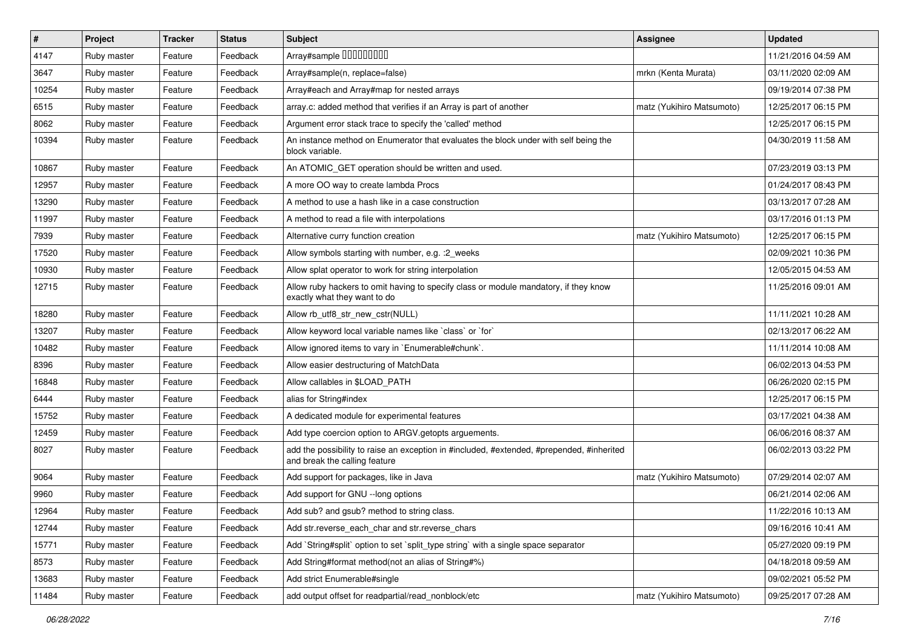| $\sharp$ | Project     | <b>Tracker</b> | <b>Status</b> | <b>Subject</b>                                                                                                             | <b>Assignee</b>           | <b>Updated</b>      |
|----------|-------------|----------------|---------------|----------------------------------------------------------------------------------------------------------------------------|---------------------------|---------------------|
| 4147     | Ruby master | Feature        | Feedback      | Array#sample 00000000                                                                                                      |                           | 11/21/2016 04:59 AM |
| 3647     | Ruby master | Feature        | Feedback      | Array#sample(n, replace=false)                                                                                             | mrkn (Kenta Murata)       | 03/11/2020 02:09 AM |
| 10254    | Ruby master | Feature        | Feedback      | Array#each and Array#map for nested arrays                                                                                 |                           | 09/19/2014 07:38 PM |
| 6515     | Ruby master | Feature        | Feedback      | array.c: added method that verifies if an Array is part of another                                                         | matz (Yukihiro Matsumoto) | 12/25/2017 06:15 PM |
| 8062     | Ruby master | Feature        | Feedback      | Argument error stack trace to specify the 'called' method                                                                  |                           | 12/25/2017 06:15 PM |
| 10394    | Ruby master | Feature        | Feedback      | An instance method on Enumerator that evaluates the block under with self being the<br>block variable.                     |                           | 04/30/2019 11:58 AM |
| 10867    | Ruby master | Feature        | Feedback      | An ATOMIC GET operation should be written and used.                                                                        |                           | 07/23/2019 03:13 PM |
| 12957    | Ruby master | Feature        | Feedback      | A more OO way to create lambda Procs                                                                                       |                           | 01/24/2017 08:43 PM |
| 13290    | Ruby master | Feature        | Feedback      | A method to use a hash like in a case construction                                                                         |                           | 03/13/2017 07:28 AM |
| 11997    | Ruby master | Feature        | Feedback      | A method to read a file with interpolations                                                                                |                           | 03/17/2016 01:13 PM |
| 7939     | Ruby master | Feature        | Feedback      | Alternative curry function creation                                                                                        | matz (Yukihiro Matsumoto) | 12/25/2017 06:15 PM |
| 17520    | Ruby master | Feature        | Feedback      | Allow symbols starting with number, e.g. : 2_weeks                                                                         |                           | 02/09/2021 10:36 PM |
| 10930    | Ruby master | Feature        | Feedback      | Allow splat operator to work for string interpolation                                                                      |                           | 12/05/2015 04:53 AM |
| 12715    | Ruby master | Feature        | Feedback      | Allow ruby hackers to omit having to specify class or module mandatory, if they know<br>exactly what they want to do       |                           | 11/25/2016 09:01 AM |
| 18280    | Ruby master | Feature        | Feedback      | Allow rb_utf8_str_new_cstr(NULL)                                                                                           |                           | 11/11/2021 10:28 AM |
| 13207    | Ruby master | Feature        | Feedback      | Allow keyword local variable names like `class` or `for`                                                                   |                           | 02/13/2017 06:22 AM |
| 10482    | Ruby master | Feature        | Feedback      | Allow ignored items to vary in `Enumerable#chunk`.                                                                         |                           | 11/11/2014 10:08 AM |
| 8396     | Ruby master | Feature        | Feedback      | Allow easier destructuring of MatchData                                                                                    |                           | 06/02/2013 04:53 PM |
| 16848    | Ruby master | Feature        | Feedback      | Allow callables in \$LOAD_PATH                                                                                             |                           | 06/26/2020 02:15 PM |
| 6444     | Ruby master | Feature        | Feedback      | alias for String#index                                                                                                     |                           | 12/25/2017 06:15 PM |
| 15752    | Ruby master | Feature        | Feedback      | A dedicated module for experimental features                                                                               |                           | 03/17/2021 04:38 AM |
| 12459    | Ruby master | Feature        | Feedback      | Add type coercion option to ARGV getopts arguements.                                                                       |                           | 06/06/2016 08:37 AM |
| 8027     | Ruby master | Feature        | Feedback      | add the possibility to raise an exception in #included, #extended, #prepended, #inherited<br>and break the calling feature |                           | 06/02/2013 03:22 PM |
| 9064     | Ruby master | Feature        | Feedback      | Add support for packages, like in Java                                                                                     | matz (Yukihiro Matsumoto) | 07/29/2014 02:07 AM |
| 9960     | Ruby master | Feature        | Feedback      | Add support for GNU --long options                                                                                         |                           | 06/21/2014 02:06 AM |
| 12964    | Ruby master | Feature        | Feedback      | Add sub? and gsub? method to string class.                                                                                 |                           | 11/22/2016 10:13 AM |
| 12744    | Ruby master | Feature        | Feedback      | Add str. reverse each char and str. reverse chars                                                                          |                           | 09/16/2016 10:41 AM |
| 15771    | Ruby master | Feature        | Feedback      | Add `String#split` option to set `split_type string` with a single space separator                                         |                           | 05/27/2020 09:19 PM |
| 8573     | Ruby master | Feature        | Feedback      | Add String#format method(not an alias of String#%)                                                                         |                           | 04/18/2018 09:59 AM |
| 13683    | Ruby master | Feature        | Feedback      | Add strict Enumerable#single                                                                                               |                           | 09/02/2021 05:52 PM |
| 11484    | Ruby master | Feature        | Feedback      | add output offset for readpartial/read_nonblock/etc                                                                        | matz (Yukihiro Matsumoto) | 09/25/2017 07:28 AM |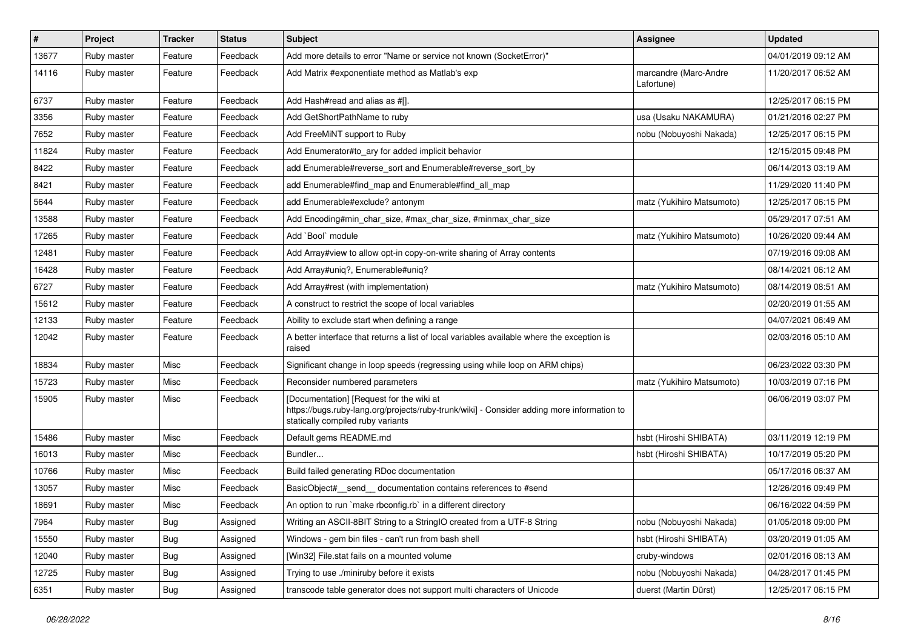| $\vert$ # | Project     | <b>Tracker</b> | <b>Status</b> | Subject                                                                                                                                                                     | Assignee                            | <b>Updated</b>      |
|-----------|-------------|----------------|---------------|-----------------------------------------------------------------------------------------------------------------------------------------------------------------------------|-------------------------------------|---------------------|
| 13677     | Ruby master | Feature        | Feedback      | Add more details to error "Name or service not known (SocketError)"                                                                                                         |                                     | 04/01/2019 09:12 AM |
| 14116     | Ruby master | Feature        | Feedback      | Add Matrix #exponentiate method as Matlab's exp                                                                                                                             | marcandre (Marc-Andre<br>Lafortune) | 11/20/2017 06:52 AM |
| 6737      | Ruby master | Feature        | Feedback      | Add Hash#read and alias as #[].                                                                                                                                             |                                     | 12/25/2017 06:15 PM |
| 3356      | Ruby master | Feature        | Feedback      | Add GetShortPathName to ruby                                                                                                                                                | usa (Usaku NAKAMURA)                | 01/21/2016 02:27 PM |
| 7652      | Ruby master | Feature        | Feedback      | Add FreeMiNT support to Ruby                                                                                                                                                | nobu (Nobuyoshi Nakada)             | 12/25/2017 06:15 PM |
| 11824     | Ruby master | Feature        | Feedback      | Add Enumerator#to_ary for added implicit behavior                                                                                                                           |                                     | 12/15/2015 09:48 PM |
| 8422      | Ruby master | Feature        | Feedback      | add Enumerable#reverse_sort and Enumerable#reverse_sort_by                                                                                                                  |                                     | 06/14/2013 03:19 AM |
| 8421      | Ruby master | Feature        | Feedback      | add Enumerable#find_map and Enumerable#find_all_map                                                                                                                         |                                     | 11/29/2020 11:40 PM |
| 5644      | Ruby master | Feature        | Feedback      | add Enumerable#exclude? antonym                                                                                                                                             | matz (Yukihiro Matsumoto)           | 12/25/2017 06:15 PM |
| 13588     | Ruby master | Feature        | Feedback      | Add Encoding#min_char_size, #max_char_size, #minmax_char_size                                                                                                               |                                     | 05/29/2017 07:51 AM |
| 17265     | Ruby master | Feature        | Feedback      | Add `Bool` module                                                                                                                                                           | matz (Yukihiro Matsumoto)           | 10/26/2020 09:44 AM |
| 12481     | Ruby master | Feature        | Feedback      | Add Array#view to allow opt-in copy-on-write sharing of Array contents                                                                                                      |                                     | 07/19/2016 09:08 AM |
| 16428     | Ruby master | Feature        | Feedback      | Add Array#uniq?, Enumerable#uniq?                                                                                                                                           |                                     | 08/14/2021 06:12 AM |
| 6727      | Ruby master | Feature        | Feedback      | Add Array#rest (with implementation)                                                                                                                                        | matz (Yukihiro Matsumoto)           | 08/14/2019 08:51 AM |
| 15612     | Ruby master | Feature        | Feedback      | A construct to restrict the scope of local variables                                                                                                                        |                                     | 02/20/2019 01:55 AM |
| 12133     | Ruby master | Feature        | Feedback      | Ability to exclude start when defining a range                                                                                                                              |                                     | 04/07/2021 06:49 AM |
| 12042     | Ruby master | Feature        | Feedback      | A better interface that returns a list of local variables available where the exception is<br>raised                                                                        |                                     | 02/03/2016 05:10 AM |
| 18834     | Ruby master | Misc           | Feedback      | Significant change in loop speeds (regressing using while loop on ARM chips)                                                                                                |                                     | 06/23/2022 03:30 PM |
| 15723     | Ruby master | Misc           | Feedback      | Reconsider numbered parameters                                                                                                                                              | matz (Yukihiro Matsumoto)           | 10/03/2019 07:16 PM |
| 15905     | Ruby master | Misc           | Feedback      | [Documentation] [Request for the wiki at<br>https://bugs.ruby-lang.org/projects/ruby-trunk/wiki] - Consider adding more information to<br>statically compiled ruby variants |                                     | 06/06/2019 03:07 PM |
| 15486     | Ruby master | Misc           | Feedback      | Default gems README.md                                                                                                                                                      | hsbt (Hiroshi SHIBATA)              | 03/11/2019 12:19 PM |
| 16013     | Ruby master | Misc           | Feedback      | Bundler                                                                                                                                                                     | hsbt (Hiroshi SHIBATA)              | 10/17/2019 05:20 PM |
| 10766     | Ruby master | Misc           | Feedback      | Build failed generating RDoc documentation                                                                                                                                  |                                     | 05/17/2016 06:37 AM |
| 13057     | Ruby master | Misc           | Feedback      | BasicObject# send documentation contains references to #send                                                                                                                |                                     | 12/26/2016 09:49 PM |
| 18691     | Ruby master | Misc           | Feedback      | An option to run `make rbconfig.rb` in a different directory                                                                                                                |                                     | 06/16/2022 04:59 PM |
| 7964      | Ruby master | Bug            | Assigned      | Writing an ASCII-8BIT String to a StringIO created from a UTF-8 String                                                                                                      | nobu (Nobuyoshi Nakada)             | 01/05/2018 09:00 PM |
| 15550     | Ruby master | <b>Bug</b>     | Assigned      | Windows - gem bin files - can't run from bash shell                                                                                                                         | hsbt (Hiroshi SHIBATA)              | 03/20/2019 01:05 AM |
| 12040     | Ruby master | <b>Bug</b>     | Assigned      | [Win32] File.stat fails on a mounted volume                                                                                                                                 | cruby-windows                       | 02/01/2016 08:13 AM |
| 12725     | Ruby master | <b>Bug</b>     | Assigned      | Trying to use ./miniruby before it exists                                                                                                                                   | nobu (Nobuyoshi Nakada)             | 04/28/2017 01:45 PM |
| 6351      | Ruby master | Bug            | Assigned      | transcode table generator does not support multi characters of Unicode                                                                                                      | duerst (Martin Dürst)               | 12/25/2017 06:15 PM |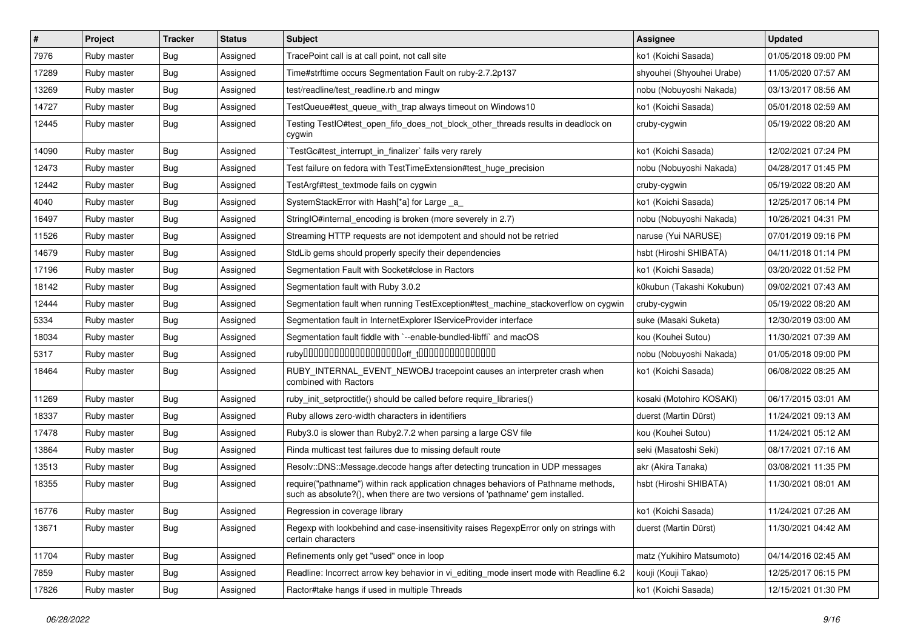| $\vert$ # | Project     | <b>Tracker</b> | <b>Status</b> | Subject                                                                                                                                                             | <b>Assignee</b>           | <b>Updated</b>      |
|-----------|-------------|----------------|---------------|---------------------------------------------------------------------------------------------------------------------------------------------------------------------|---------------------------|---------------------|
| 7976      | Ruby master | <b>Bug</b>     | Assigned      | TracePoint call is at call point, not call site                                                                                                                     | ko1 (Koichi Sasada)       | 01/05/2018 09:00 PM |
| 17289     | Ruby master | Bug            | Assigned      | Time#strftime occurs Segmentation Fault on ruby-2.7.2p137                                                                                                           | shyouhei (Shyouhei Urabe) | 11/05/2020 07:57 AM |
| 13269     | Ruby master | <b>Bug</b>     | Assigned      | test/readline/test readline.rb and mingw                                                                                                                            | nobu (Nobuyoshi Nakada)   | 03/13/2017 08:56 AM |
| 14727     | Ruby master | <b>Bug</b>     | Assigned      | TestQueue#test_queue_with_trap always timeout on Windows10                                                                                                          | ko1 (Koichi Sasada)       | 05/01/2018 02:59 AM |
| 12445     | Ruby master | <b>Bug</b>     | Assigned      | Testing TestIO#test_open_fifo_does_not_block_other_threads results in deadlock on<br>cygwin                                                                         | cruby-cygwin              | 05/19/2022 08:20 AM |
| 14090     | Ruby master | <b>Bug</b>     | Assigned      | TestGc#test interrupt in finalizer` fails very rarely                                                                                                               | ko1 (Koichi Sasada)       | 12/02/2021 07:24 PM |
| 12473     | Ruby master | Bug            | Assigned      | Test failure on fedora with TestTimeExtension#test_huge_precision                                                                                                   | nobu (Nobuyoshi Nakada)   | 04/28/2017 01:45 PM |
| 12442     | Ruby master | <b>Bug</b>     | Assigned      | TestArgf#test_textmode fails on cygwin                                                                                                                              | cruby-cygwin              | 05/19/2022 08:20 AM |
| 4040      | Ruby master | Bug            | Assigned      | SystemStackError with Hash[*a] for Large _a_                                                                                                                        | ko1 (Koichi Sasada)       | 12/25/2017 06:14 PM |
| 16497     | Ruby master | <b>Bug</b>     | Assigned      | StringIO#internal encoding is broken (more severely in 2.7)                                                                                                         | nobu (Nobuyoshi Nakada)   | 10/26/2021 04:31 PM |
| 11526     | Ruby master | <b>Bug</b>     | Assigned      | Streaming HTTP requests are not idempotent and should not be retried                                                                                                | naruse (Yui NARUSE)       | 07/01/2019 09:16 PM |
| 14679     | Ruby master | Bug            | Assigned      | StdLib gems should properly specify their dependencies                                                                                                              | hsbt (Hiroshi SHIBATA)    | 04/11/2018 01:14 PM |
| 17196     | Ruby master | <b>Bug</b>     | Assigned      | Segmentation Fault with Socket#close in Ractors                                                                                                                     | ko1 (Koichi Sasada)       | 03/20/2022 01:52 PM |
| 18142     | Ruby master | <b>Bug</b>     | Assigned      | Segmentation fault with Ruby 3.0.2                                                                                                                                  | k0kubun (Takashi Kokubun) | 09/02/2021 07:43 AM |
| 12444     | Ruby master | <b>Bug</b>     | Assigned      | Segmentation fault when running TestException#test_machine_stackoverflow on cygwin                                                                                  | cruby-cygwin              | 05/19/2022 08:20 AM |
| 5334      | Ruby master | <b>Bug</b>     | Assigned      | Segmentation fault in InternetExplorer IServiceProvider interface                                                                                                   | suke (Masaki Suketa)      | 12/30/2019 03:00 AM |
| 18034     | Ruby master | <b>Bug</b>     | Assigned      | Segmentation fault fiddle with `--enable-bundled-libffi` and macOS                                                                                                  | kou (Kouhei Sutou)        | 11/30/2021 07:39 AM |
| 5317      | Ruby master | <b>Bug</b>     | Assigned      |                                                                                                                                                                     | nobu (Nobuyoshi Nakada)   | 01/05/2018 09:00 PM |
| 18464     | Ruby master | <b>Bug</b>     | Assigned      | RUBY_INTERNAL_EVENT_NEWOBJ tracepoint causes an interpreter crash when<br>combined with Ractors                                                                     | ko1 (Koichi Sasada)       | 06/08/2022 08:25 AM |
| 11269     | Ruby master | <b>Bug</b>     | Assigned      | ruby_init_setproctitle() should be called before require_libraries()                                                                                                | kosaki (Motohiro KOSAKI)  | 06/17/2015 03:01 AM |
| 18337     | Ruby master | Bug            | Assigned      | Ruby allows zero-width characters in identifiers                                                                                                                    | duerst (Martin Dürst)     | 11/24/2021 09:13 AM |
| 17478     | Ruby master | <b>Bug</b>     | Assigned      | Ruby3.0 is slower than Ruby2.7.2 when parsing a large CSV file                                                                                                      | kou (Kouhei Sutou)        | 11/24/2021 05:12 AM |
| 13864     | Ruby master | <b>Bug</b>     | Assigned      | Rinda multicast test failures due to missing default route                                                                                                          | seki (Masatoshi Seki)     | 08/17/2021 07:16 AM |
| 13513     | Ruby master | Bug            | Assigned      | Resolv::DNS::Message.decode hangs after detecting truncation in UDP messages                                                                                        | akr (Akira Tanaka)        | 03/08/2021 11:35 PM |
| 18355     | Ruby master | <b>Bug</b>     | Assigned      | require("pathname") within rack application chnages behaviors of Pathname methods,<br>such as absolute?(), when there are two versions of 'pathname' gem installed. | hsbt (Hiroshi SHIBATA)    | 11/30/2021 08:01 AM |
| 16776     | Ruby master | Bug            | Assigned      | Regression in coverage library                                                                                                                                      | ko1 (Koichi Sasada)       | 11/24/2021 07:26 AM |
| 13671     | Ruby master | <b>Bug</b>     | Assigned      | Regexp with lookbehind and case-insensitivity raises RegexpError only on strings with<br>certain characters                                                         | duerst (Martin Dürst)     | 11/30/2021 04:42 AM |
| 11704     | Ruby master | Bug            | Assigned      | Refinements only get "used" once in loop                                                                                                                            | matz (Yukihiro Matsumoto) | 04/14/2016 02:45 AM |
| 7859      | Ruby master | <b>Bug</b>     | Assigned      | Readline: Incorrect arrow key behavior in vi_editing_mode insert mode with Readline 6.2                                                                             | kouji (Kouji Takao)       | 12/25/2017 06:15 PM |
| 17826     | Ruby master | <b>Bug</b>     | Assigned      | Ractor#take hangs if used in multiple Threads                                                                                                                       | ko1 (Koichi Sasada)       | 12/15/2021 01:30 PM |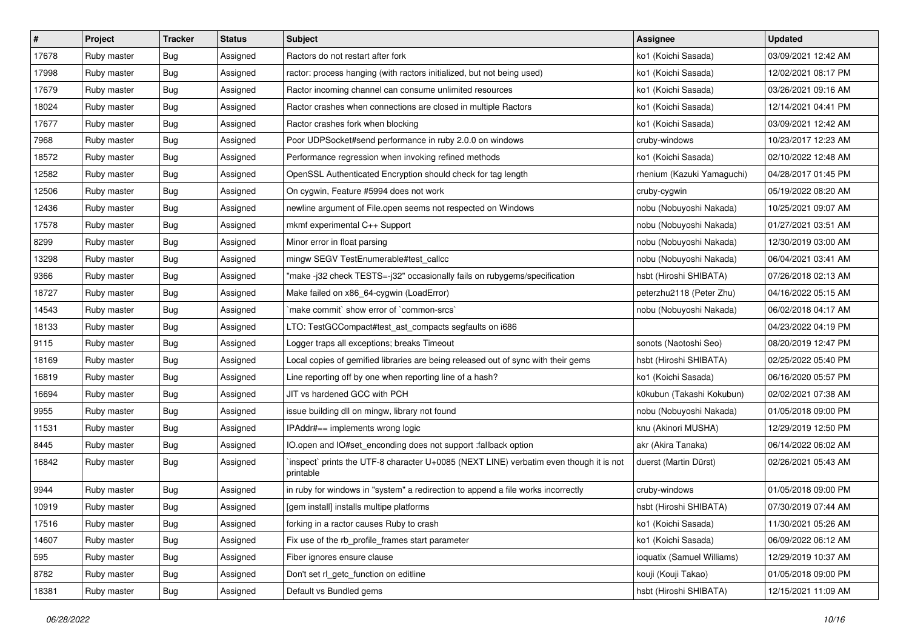| #     | Project     | <b>Tracker</b> | <b>Status</b> | Subject                                                                                             | <b>Assignee</b>            | <b>Updated</b>      |
|-------|-------------|----------------|---------------|-----------------------------------------------------------------------------------------------------|----------------------------|---------------------|
| 17678 | Ruby master | <b>Bug</b>     | Assigned      | Ractors do not restart after fork                                                                   | ko1 (Koichi Sasada)        | 03/09/2021 12:42 AM |
| 17998 | Ruby master | <b>Bug</b>     | Assigned      | ractor: process hanging (with ractors initialized, but not being used)                              | ko1 (Koichi Sasada)        | 12/02/2021 08:17 PM |
| 17679 | Ruby master | <b>Bug</b>     | Assigned      | Ractor incoming channel can consume unlimited resources                                             | ko1 (Koichi Sasada)        | 03/26/2021 09:16 AM |
| 18024 | Ruby master | <b>Bug</b>     | Assigned      | Ractor crashes when connections are closed in multiple Ractors                                      | ko1 (Koichi Sasada)        | 12/14/2021 04:41 PM |
| 17677 | Ruby master | Bug            | Assigned      | Ractor crashes fork when blocking                                                                   | ko1 (Koichi Sasada)        | 03/09/2021 12:42 AM |
| 7968  | Ruby master | <b>Bug</b>     | Assigned      | Poor UDPSocket#send performance in ruby 2.0.0 on windows                                            | cruby-windows              | 10/23/2017 12:23 AM |
| 18572 | Ruby master | Bug            | Assigned      | Performance regression when invoking refined methods                                                | ko1 (Koichi Sasada)        | 02/10/2022 12:48 AM |
| 12582 | Ruby master | <b>Bug</b>     | Assigned      | OpenSSL Authenticated Encryption should check for tag length                                        | rhenium (Kazuki Yamaguchi) | 04/28/2017 01:45 PM |
| 12506 | Ruby master | <b>Bug</b>     | Assigned      | On cygwin, Feature #5994 does not work                                                              | cruby-cygwin               | 05/19/2022 08:20 AM |
| 12436 | Ruby master | <b>Bug</b>     | Assigned      | newline argument of File.open seems not respected on Windows                                        | nobu (Nobuyoshi Nakada)    | 10/25/2021 09:07 AM |
| 17578 | Ruby master | <b>Bug</b>     | Assigned      | mkmf experimental C++ Support                                                                       | nobu (Nobuyoshi Nakada)    | 01/27/2021 03:51 AM |
| 8299  | Ruby master | <b>Bug</b>     | Assigned      | Minor error in float parsing                                                                        | nobu (Nobuyoshi Nakada)    | 12/30/2019 03:00 AM |
| 13298 | Ruby master | <b>Bug</b>     | Assigned      | mingw SEGV TestEnumerable#test_callcc                                                               | nobu (Nobuyoshi Nakada)    | 06/04/2021 03:41 AM |
| 9366  | Ruby master | <b>Bug</b>     | Assigned      | "make -j32 check TESTS=-j32" occasionally fails on rubygems/specification                           | hsbt (Hiroshi SHIBATA)     | 07/26/2018 02:13 AM |
| 18727 | Ruby master | <b>Bug</b>     | Assigned      | Make failed on x86_64-cygwin (LoadError)                                                            | peterzhu2118 (Peter Zhu)   | 04/16/2022 05:15 AM |
| 14543 | Ruby master | Bug            | Assigned      | 'make commit' show error of 'common-srcs'                                                           | nobu (Nobuyoshi Nakada)    | 06/02/2018 04:17 AM |
| 18133 | Ruby master | <b>Bug</b>     | Assigned      | LTO: TestGCCompact#test_ast_compacts segfaults on i686                                              |                            | 04/23/2022 04:19 PM |
| 9115  | Ruby master | Bug            | Assigned      | Logger traps all exceptions; breaks Timeout                                                         | sonots (Naotoshi Seo)      | 08/20/2019 12:47 PM |
| 18169 | Ruby master | <b>Bug</b>     | Assigned      | Local copies of gemified libraries are being released out of sync with their gems                   | hsbt (Hiroshi SHIBATA)     | 02/25/2022 05:40 PM |
| 16819 | Ruby master | Bug            | Assigned      | Line reporting off by one when reporting line of a hash?                                            | ko1 (Koichi Sasada)        | 06/16/2020 05:57 PM |
| 16694 | Ruby master | Bug            | Assigned      | JIT vs hardened GCC with PCH                                                                        | k0kubun (Takashi Kokubun)  | 02/02/2021 07:38 AM |
| 9955  | Ruby master | <b>Bug</b>     | Assigned      | issue building dll on mingw, library not found                                                      | nobu (Nobuyoshi Nakada)    | 01/05/2018 09:00 PM |
| 11531 | Ruby master | Bug            | Assigned      | IPAddr#== implements wrong logic                                                                    | knu (Akinori MUSHA)        | 12/29/2019 12:50 PM |
| 8445  | Ruby master | Bug            | Assigned      | IO.open and IO#set_enconding does not support :fallback option                                      | akr (Akira Tanaka)         | 06/14/2022 06:02 AM |
| 16842 | Ruby master | Bug            | Assigned      | 'inspect' prints the UTF-8 character U+0085 (NEXT LINE) verbatim even though it is not<br>printable | duerst (Martin Dürst)      | 02/26/2021 05:43 AM |
| 9944  | Ruby master | Bug            | Assigned      | in ruby for windows in "system" a redirection to append a file works incorrectly                    | cruby-windows              | 01/05/2018 09:00 PM |
| 10919 | Ruby master | <b>Bug</b>     | Assigned      | [gem install] installs multipe platforms                                                            | hsbt (Hiroshi SHIBATA)     | 07/30/2019 07:44 AM |
| 17516 | Ruby master | <b>Bug</b>     | Assigned      | forking in a ractor causes Ruby to crash                                                            | ko1 (Koichi Sasada)        | 11/30/2021 05:26 AM |
| 14607 | Ruby master | <b>Bug</b>     | Assigned      | Fix use of the rb_profile_frames start parameter                                                    | ko1 (Koichi Sasada)        | 06/09/2022 06:12 AM |
| 595   | Ruby master | <b>Bug</b>     | Assigned      | Fiber ignores ensure clause                                                                         | ioquatix (Samuel Williams) | 12/29/2019 10:37 AM |
| 8782  | Ruby master | Bug            | Assigned      | Don't set rl_getc_function on editline                                                              | kouji (Kouji Takao)        | 01/05/2018 09:00 PM |
| 18381 | Ruby master | Bug            | Assigned      | Default vs Bundled gems                                                                             | hsbt (Hiroshi SHIBATA)     | 12/15/2021 11:09 AM |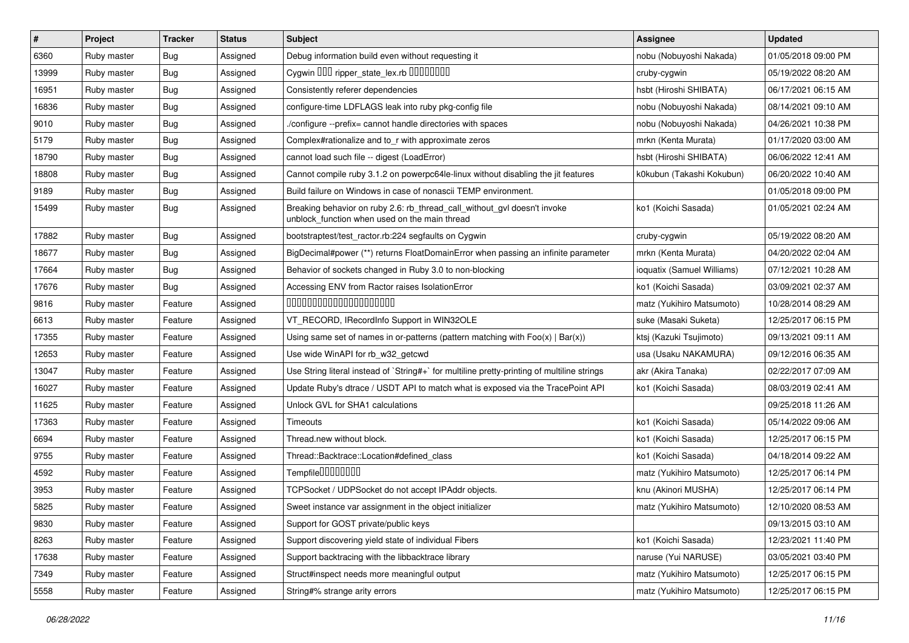| $\vert$ # | Project     | <b>Tracker</b> | <b>Status</b> | <b>Subject</b>                                                                                                            | <b>Assignee</b>            | <b>Updated</b>      |
|-----------|-------------|----------------|---------------|---------------------------------------------------------------------------------------------------------------------------|----------------------------|---------------------|
| 6360      | Ruby master | <b>Bug</b>     | Assigned      | Debug information build even without requesting it                                                                        | nobu (Nobuyoshi Nakada)    | 01/05/2018 09:00 PM |
| 13999     | Ruby master | <b>Bug</b>     | Assigned      | Cygwin 000 ripper_state_lex.rb 0000000                                                                                    | cruby-cygwin               | 05/19/2022 08:20 AM |
| 16951     | Ruby master | <b>Bug</b>     | Assigned      | Consistently referer dependencies                                                                                         | hsbt (Hiroshi SHIBATA)     | 06/17/2021 06:15 AM |
| 16836     | Ruby master | <b>Bug</b>     | Assigned      | configure-time LDFLAGS leak into ruby pkg-config file                                                                     | nobu (Nobuyoshi Nakada)    | 08/14/2021 09:10 AM |
| 9010      | Ruby master | Bug            | Assigned      | ./configure --prefix= cannot handle directories with spaces                                                               | nobu (Nobuyoshi Nakada)    | 04/26/2021 10:38 PM |
| 5179      | Ruby master | <b>Bug</b>     | Assigned      | Complex#rationalize and to_r with approximate zeros                                                                       | mrkn (Kenta Murata)        | 01/17/2020 03:00 AM |
| 18790     | Ruby master | <b>Bug</b>     | Assigned      | cannot load such file -- digest (LoadError)                                                                               | hsbt (Hiroshi SHIBATA)     | 06/06/2022 12:41 AM |
| 18808     | Ruby master | Bug            | Assigned      | Cannot compile ruby 3.1.2 on powerpc64le-linux without disabling the jit features                                         | k0kubun (Takashi Kokubun)  | 06/20/2022 10:40 AM |
| 9189      | Ruby master | <b>Bug</b>     | Assigned      | Build failure on Windows in case of nonascii TEMP environment.                                                            |                            | 01/05/2018 09:00 PM |
| 15499     | Ruby master | <b>Bug</b>     | Assigned      | Breaking behavior on ruby 2.6: rb_thread_call_without_gvl doesn't invoke<br>unblock function when used on the main thread | ko1 (Koichi Sasada)        | 01/05/2021 02:24 AM |
| 17882     | Ruby master | <b>Bug</b>     | Assigned      | bootstraptest/test_ractor.rb:224 segfaults on Cygwin                                                                      | cruby-cygwin               | 05/19/2022 08:20 AM |
| 18677     | Ruby master | Bug            | Assigned      | BigDecimal#power (**) returns FloatDomainError when passing an infinite parameter                                         | mrkn (Kenta Murata)        | 04/20/2022 02:04 AM |
| 17664     | Ruby master | <b>Bug</b>     | Assigned      | Behavior of sockets changed in Ruby 3.0 to non-blocking                                                                   | ioquatix (Samuel Williams) | 07/12/2021 10:28 AM |
| 17676     | Ruby master | <b>Bug</b>     | Assigned      | Accessing ENV from Ractor raises IsolationError                                                                           | ko1 (Koichi Sasada)        | 03/09/2021 02:37 AM |
| 9816      | Ruby master | Feature        | Assigned      | 00000000000000000000                                                                                                      | matz (Yukihiro Matsumoto)  | 10/28/2014 08:29 AM |
| 6613      | Ruby master | Feature        | Assigned      | VT_RECORD, IRecordInfo Support in WIN32OLE                                                                                | suke (Masaki Suketa)       | 12/25/2017 06:15 PM |
| 17355     | Ruby master | Feature        | Assigned      | Using same set of names in or-patterns (pattern matching with $Foo(x)   Bar(x))$                                          | ktsj (Kazuki Tsujimoto)    | 09/13/2021 09:11 AM |
| 12653     | Ruby master | Feature        | Assigned      | Use wide WinAPI for rb w32 getcwd                                                                                         | usa (Usaku NAKAMURA)       | 09/12/2016 06:35 AM |
| 13047     | Ruby master | Feature        | Assigned      | Use String literal instead of `String#+` for multiline pretty-printing of multiline strings                               | akr (Akira Tanaka)         | 02/22/2017 07:09 AM |
| 16027     | Ruby master | Feature        | Assigned      | Update Ruby's dtrace / USDT API to match what is exposed via the TracePoint API                                           | ko1 (Koichi Sasada)        | 08/03/2019 02:41 AM |
| 11625     | Ruby master | Feature        | Assigned      | Unlock GVL for SHA1 calculations                                                                                          |                            | 09/25/2018 11:26 AM |
| 17363     | Ruby master | Feature        | Assigned      | Timeouts                                                                                                                  | ko1 (Koichi Sasada)        | 05/14/2022 09:06 AM |
| 6694      | Ruby master | Feature        | Assigned      | Thread.new without block.                                                                                                 | ko1 (Koichi Sasada)        | 12/25/2017 06:15 PM |
| 9755      | Ruby master | Feature        | Assigned      | Thread::Backtrace::Location#defined class                                                                                 | ko1 (Koichi Sasada)        | 04/18/2014 09:22 AM |
| 4592      | Ruby master | Feature        | Assigned      | Tempfile0000000                                                                                                           | matz (Yukihiro Matsumoto)  | 12/25/2017 06:14 PM |
| 3953      | Ruby master | Feature        | Assigned      | TCPSocket / UDPSocket do not accept IPAddr objects.                                                                       | knu (Akinori MUSHA)        | 12/25/2017 06:14 PM |
| 5825      | Ruby master | Feature        | Assigned      | Sweet instance var assignment in the object initializer                                                                   | matz (Yukihiro Matsumoto)  | 12/10/2020 08:53 AM |
| 9830      | Ruby master | Feature        | Assigned      | Support for GOST private/public keys                                                                                      |                            | 09/13/2015 03:10 AM |
| 8263      | Ruby master | Feature        | Assigned      | Support discovering yield state of individual Fibers                                                                      | ko1 (Koichi Sasada)        | 12/23/2021 11:40 PM |
| 17638     | Ruby master | Feature        | Assigned      | Support backtracing with the libbacktrace library                                                                         | naruse (Yui NARUSE)        | 03/05/2021 03:40 PM |
| 7349      | Ruby master | Feature        | Assigned      | Struct#inspect needs more meaningful output                                                                               | matz (Yukihiro Matsumoto)  | 12/25/2017 06:15 PM |
| 5558      | Ruby master | Feature        | Assigned      | String#% strange arity errors                                                                                             | matz (Yukihiro Matsumoto)  | 12/25/2017 06:15 PM |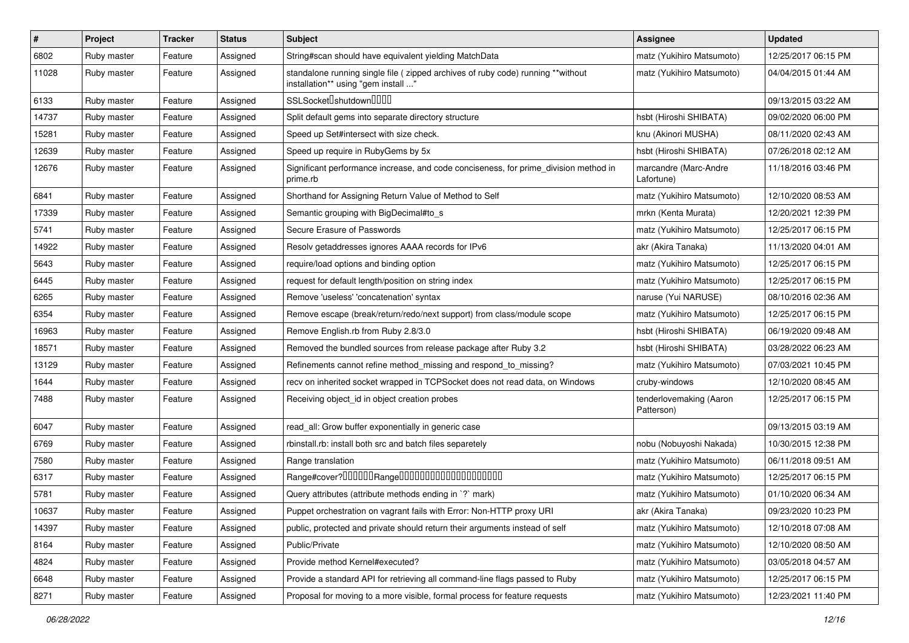| $\vert$ # | Project     | <b>Tracker</b> | <b>Status</b> | <b>Subject</b>                                                                                                          | Assignee                              | <b>Updated</b>      |
|-----------|-------------|----------------|---------------|-------------------------------------------------------------------------------------------------------------------------|---------------------------------------|---------------------|
| 6802      | Ruby master | Feature        | Assigned      | String#scan should have equivalent yielding MatchData                                                                   | matz (Yukihiro Matsumoto)             | 12/25/2017 06:15 PM |
| 11028     | Ruby master | Feature        | Assigned      | standalone running single file ( zipped archives of ruby code) running **without<br>installation** using "gem install " | matz (Yukihiro Matsumoto)             | 04/04/2015 01:44 AM |
| 6133      | Ruby master | Feature        | Assigned      | SSLSocket <sup>[]</sup> shutdown <sup>[][]</sup>                                                                        |                                       | 09/13/2015 03:22 AM |
| 14737     | Ruby master | Feature        | Assigned      | Split default gems into separate directory structure                                                                    | hsbt (Hiroshi SHIBATA)                | 09/02/2020 06:00 PM |
| 15281     | Ruby master | Feature        | Assigned      | Speed up Set#intersect with size check.                                                                                 | knu (Akinori MUSHA)                   | 08/11/2020 02:43 AM |
| 12639     | Ruby master | Feature        | Assigned      | Speed up require in RubyGems by 5x                                                                                      | hsbt (Hiroshi SHIBATA)                | 07/26/2018 02:12 AM |
| 12676     | Ruby master | Feature        | Assigned      | Significant performance increase, and code conciseness, for prime_division method in<br>prime.rb                        | marcandre (Marc-Andre<br>Lafortune)   | 11/18/2016 03:46 PM |
| 6841      | Ruby master | Feature        | Assigned      | Shorthand for Assigning Return Value of Method to Self                                                                  | matz (Yukihiro Matsumoto)             | 12/10/2020 08:53 AM |
| 17339     | Ruby master | Feature        | Assigned      | Semantic grouping with BigDecimal#to_s                                                                                  | mrkn (Kenta Murata)                   | 12/20/2021 12:39 PM |
| 5741      | Ruby master | Feature        | Assigned      | Secure Erasure of Passwords                                                                                             | matz (Yukihiro Matsumoto)             | 12/25/2017 06:15 PM |
| 14922     | Ruby master | Feature        | Assigned      | Resolv getaddresses ignores AAAA records for IPv6                                                                       | akr (Akira Tanaka)                    | 11/13/2020 04:01 AM |
| 5643      | Ruby master | Feature        | Assigned      | require/load options and binding option                                                                                 | matz (Yukihiro Matsumoto)             | 12/25/2017 06:15 PM |
| 6445      | Ruby master | Feature        | Assigned      | request for default length/position on string index                                                                     | matz (Yukihiro Matsumoto)             | 12/25/2017 06:15 PM |
| 6265      | Ruby master | Feature        | Assigned      | Remove 'useless' 'concatenation' syntax                                                                                 | naruse (Yui NARUSE)                   | 08/10/2016 02:36 AM |
| 6354      | Ruby master | Feature        | Assigned      | Remove escape (break/return/redo/next support) from class/module scope                                                  | matz (Yukihiro Matsumoto)             | 12/25/2017 06:15 PM |
| 16963     | Ruby master | Feature        | Assigned      | Remove English.rb from Ruby 2.8/3.0                                                                                     | hsbt (Hiroshi SHIBATA)                | 06/19/2020 09:48 AM |
| 18571     | Ruby master | Feature        | Assigned      | Removed the bundled sources from release package after Ruby 3.2                                                         | hsbt (Hiroshi SHIBATA)                | 03/28/2022 06:23 AM |
| 13129     | Ruby master | Feature        | Assigned      | Refinements cannot refine method_missing and respond_to_missing?                                                        | matz (Yukihiro Matsumoto)             | 07/03/2021 10:45 PM |
| 1644      | Ruby master | Feature        | Assigned      | recv on inherited socket wrapped in TCPSocket does not read data, on Windows                                            | cruby-windows                         | 12/10/2020 08:45 AM |
| 7488      | Ruby master | Feature        | Assigned      | Receiving object_id in object creation probes                                                                           | tenderlovemaking (Aaron<br>Patterson) | 12/25/2017 06:15 PM |
| 6047      | Ruby master | Feature        | Assigned      | read_all: Grow buffer exponentially in generic case                                                                     |                                       | 09/13/2015 03:19 AM |
| 6769      | Ruby master | Feature        | Assigned      | rbinstall.rb: install both src and batch files separetely                                                               | nobu (Nobuyoshi Nakada)               | 10/30/2015 12:38 PM |
| 7580      | Ruby master | Feature        | Assigned      | Range translation                                                                                                       | matz (Yukihiro Matsumoto)             | 06/11/2018 09:51 AM |
| 6317      | Ruby master | Feature        | Assigned      |                                                                                                                         | matz (Yukihiro Matsumoto)             | 12/25/2017 06:15 PM |
| 5781      | Ruby master | Feature        | Assigned      | Query attributes (attribute methods ending in `?` mark)                                                                 | matz (Yukihiro Matsumoto)             | 01/10/2020 06:34 AM |
| 10637     | Ruby master | Feature        | Assigned      | Puppet orchestration on vagrant fails with Error: Non-HTTP proxy URI                                                    | akr (Akira Tanaka)                    | 09/23/2020 10:23 PM |
| 14397     | Ruby master | Feature        | Assigned      | public, protected and private should return their arguments instead of self                                             | matz (Yukihiro Matsumoto)             | 12/10/2018 07:08 AM |
| 8164      | Ruby master | Feature        | Assigned      | Public/Private                                                                                                          | matz (Yukihiro Matsumoto)             | 12/10/2020 08:50 AM |
| 4824      | Ruby master | Feature        | Assigned      | Provide method Kernel#executed?                                                                                         | matz (Yukihiro Matsumoto)             | 03/05/2018 04:57 AM |
| 6648      | Ruby master | Feature        | Assigned      | Provide a standard API for retrieving all command-line flags passed to Ruby                                             | matz (Yukihiro Matsumoto)             | 12/25/2017 06:15 PM |
| 8271      | Ruby master | Feature        | Assigned      | Proposal for moving to a more visible, formal process for feature requests                                              | matz (Yukihiro Matsumoto)             | 12/23/2021 11:40 PM |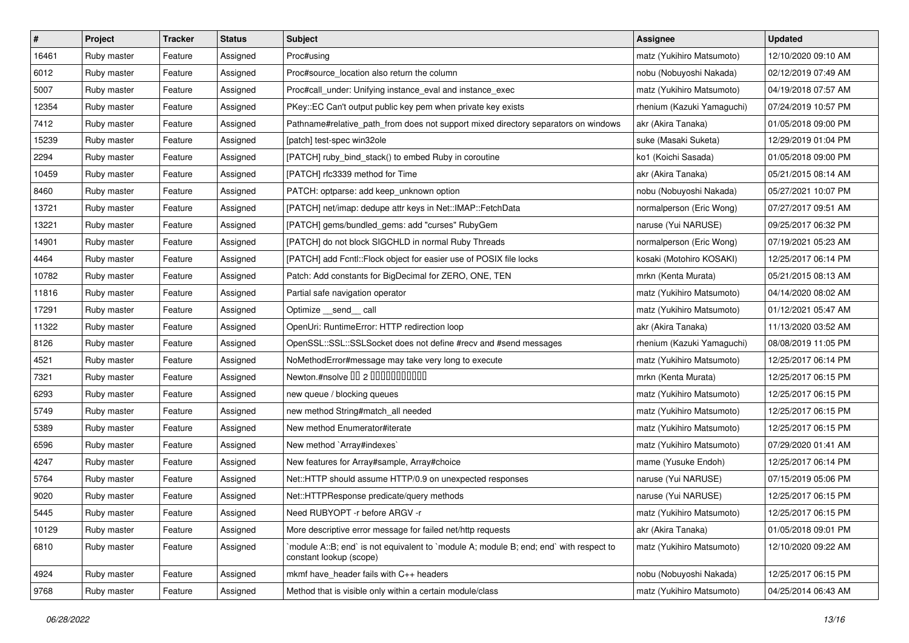| $\vert$ # | Project     | <b>Tracker</b> | <b>Status</b> | Subject                                                                                                          | Assignee                   | <b>Updated</b>      |
|-----------|-------------|----------------|---------------|------------------------------------------------------------------------------------------------------------------|----------------------------|---------------------|
| 16461     | Ruby master | Feature        | Assigned      | Proc#using                                                                                                       | matz (Yukihiro Matsumoto)  | 12/10/2020 09:10 AM |
| 6012      | Ruby master | Feature        | Assigned      | Proc#source location also return the column                                                                      | nobu (Nobuyoshi Nakada)    | 02/12/2019 07:49 AM |
| 5007      | Ruby master | Feature        | Assigned      | Proc#call_under: Unifying instance_eval and instance_exec                                                        | matz (Yukihiro Matsumoto)  | 04/19/2018 07:57 AM |
| 12354     | Ruby master | Feature        | Assigned      | PKey::EC Can't output public key pem when private key exists                                                     | rhenium (Kazuki Yamaguchi) | 07/24/2019 10:57 PM |
| 7412      | Ruby master | Feature        | Assigned      | Pathname#relative_path_from does not support mixed directory separators on windows                               | akr (Akira Tanaka)         | 01/05/2018 09:00 PM |
| 15239     | Ruby master | Feature        | Assigned      | [patch] test-spec win32ole                                                                                       | suke (Masaki Suketa)       | 12/29/2019 01:04 PM |
| 2294      | Ruby master | Feature        | Assigned      | [PATCH] ruby_bind_stack() to embed Ruby in coroutine                                                             | ko1 (Koichi Sasada)        | 01/05/2018 09:00 PM |
| 10459     | Ruby master | Feature        | Assigned      | [PATCH] rfc3339 method for Time                                                                                  | akr (Akira Tanaka)         | 05/21/2015 08:14 AM |
| 8460      | Ruby master | Feature        | Assigned      | PATCH: optparse: add keep_unknown option                                                                         | nobu (Nobuyoshi Nakada)    | 05/27/2021 10:07 PM |
| 13721     | Ruby master | Feature        | Assigned      | [PATCH] net/imap: dedupe attr keys in Net::IMAP::FetchData                                                       | normalperson (Eric Wong)   | 07/27/2017 09:51 AM |
| 13221     | Ruby master | Feature        | Assigned      | [PATCH] gems/bundled_gems: add "curses" RubyGem                                                                  | naruse (Yui NARUSE)        | 09/25/2017 06:32 PM |
| 14901     | Ruby master | Feature        | Assigned      | [PATCH] do not block SIGCHLD in normal Ruby Threads                                                              | normalperson (Eric Wong)   | 07/19/2021 05:23 AM |
| 4464      | Ruby master | Feature        | Assigned      | [PATCH] add Fcntl::Flock object for easier use of POSIX file locks                                               | kosaki (Motohiro KOSAKI)   | 12/25/2017 06:14 PM |
| 10782     | Ruby master | Feature        | Assigned      | Patch: Add constants for BigDecimal for ZERO, ONE, TEN                                                           | mrkn (Kenta Murata)        | 05/21/2015 08:13 AM |
| 11816     | Ruby master | Feature        | Assigned      | Partial safe navigation operator                                                                                 | matz (Yukihiro Matsumoto)  | 04/14/2020 08:02 AM |
| 17291     | Ruby master | Feature        | Assigned      | Optimize __send__ call                                                                                           | matz (Yukihiro Matsumoto)  | 01/12/2021 05:47 AM |
| 11322     | Ruby master | Feature        | Assigned      | OpenUri: RuntimeError: HTTP redirection loop                                                                     | akr (Akira Tanaka)         | 11/13/2020 03:52 AM |
| 8126      | Ruby master | Feature        | Assigned      | OpenSSL::SSL::SSLSocket does not define #recv and #send messages                                                 | rhenium (Kazuki Yamaguchi) | 08/08/2019 11:05 PM |
| 4521      | Ruby master | Feature        | Assigned      | NoMethodError#message may take very long to execute                                                              | matz (Yukihiro Matsumoto)  | 12/25/2017 06:14 PM |
| 7321      | Ruby master | Feature        | Assigned      | Newton.#nsolve 00 2 00000000000                                                                                  | mrkn (Kenta Murata)        | 12/25/2017 06:15 PM |
| 6293      | Ruby master | Feature        | Assigned      | new queue / blocking queues                                                                                      | matz (Yukihiro Matsumoto)  | 12/25/2017 06:15 PM |
| 5749      | Ruby master | Feature        | Assigned      | new method String#match_all needed                                                                               | matz (Yukihiro Matsumoto)  | 12/25/2017 06:15 PM |
| 5389      | Ruby master | Feature        | Assigned      | New method Enumerator#iterate                                                                                    | matz (Yukihiro Matsumoto)  | 12/25/2017 06:15 PM |
| 6596      | Ruby master | Feature        | Assigned      | New method `Array#indexes`                                                                                       | matz (Yukihiro Matsumoto)  | 07/29/2020 01:41 AM |
| 4247      | Ruby master | Feature        | Assigned      | New features for Array#sample, Array#choice                                                                      | mame (Yusuke Endoh)        | 12/25/2017 06:14 PM |
| 5764      | Ruby master | Feature        | Assigned      | Net::HTTP should assume HTTP/0.9 on unexpected responses                                                         | naruse (Yui NARUSE)        | 07/15/2019 05:06 PM |
| 9020      | Ruby master | Feature        | Assigned      | Net::HTTPResponse predicate/query methods                                                                        | naruse (Yui NARUSE)        | 12/25/2017 06:15 PM |
| 5445      | Ruby master | Feature        | Assigned      | Need RUBYOPT -r before ARGV -r                                                                                   | matz (Yukihiro Matsumoto)  | 12/25/2017 06:15 PM |
| 10129     | Ruby master | Feature        | Assigned      | More descriptive error message for failed net/http requests                                                      | akr (Akira Tanaka)         | 01/05/2018 09:01 PM |
| 6810      | Ruby master | Feature        | Assigned      | module A::B; end` is not equivalent to `module A; module B; end; end` with respect to<br>constant lookup (scope) | matz (Yukihiro Matsumoto)  | 12/10/2020 09:22 AM |
| 4924      | Ruby master | Feature        | Assigned      | mkmf have_header fails with C++ headers                                                                          | nobu (Nobuyoshi Nakada)    | 12/25/2017 06:15 PM |
| 9768      | Ruby master | Feature        | Assigned      | Method that is visible only within a certain module/class                                                        | matz (Yukihiro Matsumoto)  | 04/25/2014 06:43 AM |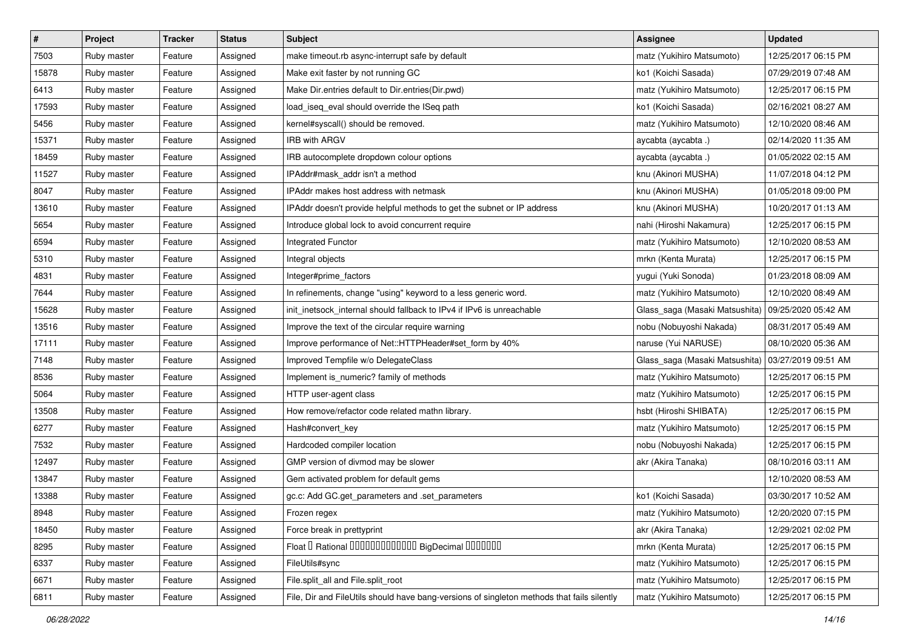| $\sharp$ | Project     | <b>Tracker</b> | <b>Status</b> | <b>Subject</b>                                                                             | Assignee                       | <b>Updated</b>      |
|----------|-------------|----------------|---------------|--------------------------------------------------------------------------------------------|--------------------------------|---------------------|
| 7503     | Ruby master | Feature        | Assigned      | make timeout.rb async-interrupt safe by default                                            | matz (Yukihiro Matsumoto)      | 12/25/2017 06:15 PM |
| 15878    | Ruby master | Feature        | Assigned      | Make exit faster by not running GC                                                         | ko1 (Koichi Sasada)            | 07/29/2019 07:48 AM |
| 6413     | Ruby master | Feature        | Assigned      | Make Dir.entries default to Dir.entries(Dir.pwd)                                           | matz (Yukihiro Matsumoto)      | 12/25/2017 06:15 PM |
| 17593    | Ruby master | Feature        | Assigned      | load_iseq_eval should override the ISeq path                                               | ko1 (Koichi Sasada)            | 02/16/2021 08:27 AM |
| 5456     | Ruby master | Feature        | Assigned      | kernel#syscall() should be removed.                                                        | matz (Yukihiro Matsumoto)      | 12/10/2020 08:46 AM |
| 15371    | Ruby master | Feature        | Assigned      | <b>IRB with ARGV</b>                                                                       | aycabta (aycabta .)            | 02/14/2020 11:35 AM |
| 18459    | Ruby master | Feature        | Assigned      | IRB autocomplete dropdown colour options                                                   | aycabta (aycabta .)            | 01/05/2022 02:15 AM |
| 11527    | Ruby master | Feature        | Assigned      | IPAddr#mask addr isn't a method                                                            | knu (Akinori MUSHA)            | 11/07/2018 04:12 PM |
| 8047     | Ruby master | Feature        | Assigned      | IPAddr makes host address with netmask                                                     | knu (Akinori MUSHA)            | 01/05/2018 09:00 PM |
| 13610    | Ruby master | Feature        | Assigned      | IPAddr doesn't provide helpful methods to get the subnet or IP address                     | knu (Akinori MUSHA)            | 10/20/2017 01:13 AM |
| 5654     | Ruby master | Feature        | Assigned      | Introduce global lock to avoid concurrent require                                          | nahi (Hiroshi Nakamura)        | 12/25/2017 06:15 PM |
| 6594     | Ruby master | Feature        | Assigned      | Integrated Functor                                                                         | matz (Yukihiro Matsumoto)      | 12/10/2020 08:53 AM |
| 5310     | Ruby master | Feature        | Assigned      | Integral objects                                                                           | mrkn (Kenta Murata)            | 12/25/2017 06:15 PM |
| 4831     | Ruby master | Feature        | Assigned      | Integer#prime factors                                                                      | yugui (Yuki Sonoda)            | 01/23/2018 08:09 AM |
| 7644     | Ruby master | Feature        | Assigned      | In refinements, change "using" keyword to a less generic word.                             | matz (Yukihiro Matsumoto)      | 12/10/2020 08:49 AM |
| 15628    | Ruby master | Feature        | Assigned      | init_inetsock_internal should fallback to IPv4 if IPv6 is unreachable                      | Glass_saga (Masaki Matsushita) | 09/25/2020 05:42 AM |
| 13516    | Ruby master | Feature        | Assigned      | Improve the text of the circular require warning                                           | nobu (Nobuyoshi Nakada)        | 08/31/2017 05:49 AM |
| 17111    | Ruby master | Feature        | Assigned      | Improve performance of Net::HTTPHeader#set_form by 40%                                     | naruse (Yui NARUSE)            | 08/10/2020 05:36 AM |
| 7148     | Ruby master | Feature        | Assigned      | Improved Tempfile w/o DelegateClass                                                        | Glass_saga (Masaki Matsushita) | 03/27/2019 09:51 AM |
| 8536     | Ruby master | Feature        | Assigned      | Implement is_numeric? family of methods                                                    | matz (Yukihiro Matsumoto)      | 12/25/2017 06:15 PM |
| 5064     | Ruby master | Feature        | Assigned      | HTTP user-agent class                                                                      | matz (Yukihiro Matsumoto)      | 12/25/2017 06:15 PM |
| 13508    | Ruby master | Feature        | Assigned      | How remove/refactor code related mathn library.                                            | hsbt (Hiroshi SHIBATA)         | 12/25/2017 06:15 PM |
| 6277     | Ruby master | Feature        | Assigned      | Hash#convert_key                                                                           | matz (Yukihiro Matsumoto)      | 12/25/2017 06:15 PM |
| 7532     | Ruby master | Feature        | Assigned      | Hardcoded compiler location                                                                | nobu (Nobuyoshi Nakada)        | 12/25/2017 06:15 PM |
| 12497    | Ruby master | Feature        | Assigned      | GMP version of divmod may be slower                                                        | akr (Akira Tanaka)             | 08/10/2016 03:11 AM |
| 13847    | Ruby master | Feature        | Assigned      | Gem activated problem for default gems                                                     |                                | 12/10/2020 08:53 AM |
| 13388    | Ruby master | Feature        | Assigned      | gc.c: Add GC.get_parameters and .set_parameters                                            | ko1 (Koichi Sasada)            | 03/30/2017 10:52 AM |
| 8948     | Ruby master | Feature        | Assigned      | Frozen regex                                                                               | matz (Yukihiro Matsumoto)      | 12/20/2020 07:15 PM |
| 18450    | Ruby master | Feature        | Assigned      | Force break in prettyprint                                                                 | akr (Akira Tanaka)             | 12/29/2021 02:02 PM |
| 8295     | Ruby master | Feature        | Assigned      | Float I Rational IIIIIIIIIIIIIIIIIII BigDecimal IIIIIIIIII                                 | mrkn (Kenta Murata)            | 12/25/2017 06:15 PM |
| 6337     | Ruby master | Feature        | Assigned      | FileUtils#sync                                                                             | matz (Yukihiro Matsumoto)      | 12/25/2017 06:15 PM |
| 6671     | Ruby master | Feature        | Assigned      | File.split_all and File.split_root                                                         | matz (Yukihiro Matsumoto)      | 12/25/2017 06:15 PM |
| 6811     | Ruby master | Feature        | Assigned      | File, Dir and FileUtils should have bang-versions of singleton methods that fails silently | matz (Yukihiro Matsumoto)      | 12/25/2017 06:15 PM |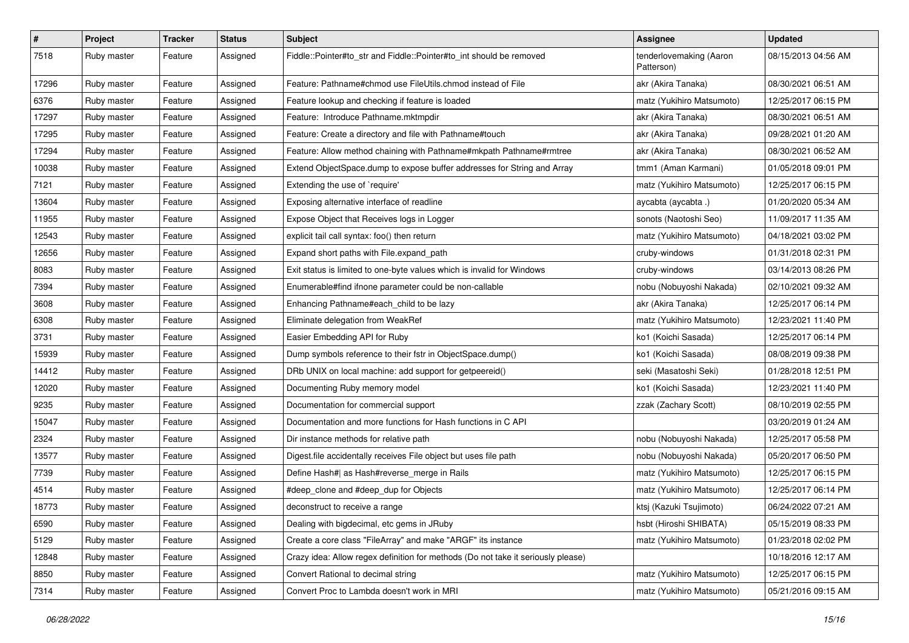| $\vert$ # | Project     | <b>Tracker</b> | <b>Status</b> | Subject                                                                          | <b>Assignee</b>                       | <b>Updated</b>      |
|-----------|-------------|----------------|---------------|----------------------------------------------------------------------------------|---------------------------------------|---------------------|
| 7518      | Ruby master | Feature        | Assigned      | Fiddle::Pointer#to_str and Fiddle::Pointer#to_int should be removed              | tenderlovemaking (Aaron<br>Patterson) | 08/15/2013 04:56 AM |
| 17296     | Ruby master | Feature        | Assigned      | Feature: Pathname#chmod use FileUtils.chmod instead of File                      | akr (Akira Tanaka)                    | 08/30/2021 06:51 AM |
| 6376      | Ruby master | Feature        | Assigned      | Feature lookup and checking if feature is loaded                                 | matz (Yukihiro Matsumoto)             | 12/25/2017 06:15 PM |
| 17297     | Ruby master | Feature        | Assigned      | Feature: Introduce Pathname.mktmpdir                                             | akr (Akira Tanaka)                    | 08/30/2021 06:51 AM |
| 17295     | Ruby master | Feature        | Assigned      | Feature: Create a directory and file with Pathname#touch                         | akr (Akira Tanaka)                    | 09/28/2021 01:20 AM |
| 17294     | Ruby master | Feature        | Assigned      | Feature: Allow method chaining with Pathname#mkpath Pathname#rmtree              | akr (Akira Tanaka)                    | 08/30/2021 06:52 AM |
| 10038     | Ruby master | Feature        | Assigned      | Extend ObjectSpace.dump to expose buffer addresses for String and Array          | tmm1 (Aman Karmani)                   | 01/05/2018 09:01 PM |
| 7121      | Ruby master | Feature        | Assigned      | Extending the use of `require'                                                   | matz (Yukihiro Matsumoto)             | 12/25/2017 06:15 PM |
| 13604     | Ruby master | Feature        | Assigned      | Exposing alternative interface of readline                                       | aycabta (aycabta .)                   | 01/20/2020 05:34 AM |
| 11955     | Ruby master | Feature        | Assigned      | Expose Object that Receives logs in Logger                                       | sonots (Naotoshi Seo)                 | 11/09/2017 11:35 AM |
| 12543     | Ruby master | Feature        | Assigned      | explicit tail call syntax: foo() then return                                     | matz (Yukihiro Matsumoto)             | 04/18/2021 03:02 PM |
| 12656     | Ruby master | Feature        | Assigned      | Expand short paths with File.expand_path                                         | cruby-windows                         | 01/31/2018 02:31 PM |
| 8083      | Ruby master | Feature        | Assigned      | Exit status is limited to one-byte values which is invalid for Windows           | cruby-windows                         | 03/14/2013 08:26 PM |
| 7394      | Ruby master | Feature        | Assigned      | Enumerable#find ifnone parameter could be non-callable                           | nobu (Nobuyoshi Nakada)               | 02/10/2021 09:32 AM |
| 3608      | Ruby master | Feature        | Assigned      | Enhancing Pathname#each child to be lazy                                         | akr (Akira Tanaka)                    | 12/25/2017 06:14 PM |
| 6308      | Ruby master | Feature        | Assigned      | Eliminate delegation from WeakRef                                                | matz (Yukihiro Matsumoto)             | 12/23/2021 11:40 PM |
| 3731      | Ruby master | Feature        | Assigned      | Easier Embedding API for Ruby                                                    | ko1 (Koichi Sasada)                   | 12/25/2017 06:14 PM |
| 15939     | Ruby master | Feature        | Assigned      | Dump symbols reference to their fstr in ObjectSpace.dump()                       | ko1 (Koichi Sasada)                   | 08/08/2019 09:38 PM |
| 14412     | Ruby master | Feature        | Assigned      | DRb UNIX on local machine: add support for getpeereid()                          | seki (Masatoshi Seki)                 | 01/28/2018 12:51 PM |
| 12020     | Ruby master | Feature        | Assigned      | Documenting Ruby memory model                                                    | ko1 (Koichi Sasada)                   | 12/23/2021 11:40 PM |
| 9235      | Ruby master | Feature        | Assigned      | Documentation for commercial support                                             | zzak (Zachary Scott)                  | 08/10/2019 02:55 PM |
| 15047     | Ruby master | Feature        | Assigned      | Documentation and more functions for Hash functions in C API                     |                                       | 03/20/2019 01:24 AM |
| 2324      | Ruby master | Feature        | Assigned      | Dir instance methods for relative path                                           | nobu (Nobuyoshi Nakada)               | 12/25/2017 05:58 PM |
| 13577     | Ruby master | Feature        | Assigned      | Digest file accidentally receives File object but uses file path                 | nobu (Nobuyoshi Nakada)               | 05/20/2017 06:50 PM |
| 7739      | Ruby master | Feature        | Assigned      | Define Hash#  as Hash#reverse_merge in Rails                                     | matz (Yukihiro Matsumoto)             | 12/25/2017 06:15 PM |
| 4514      | Ruby master | Feature        | Assigned      | #deep_clone and #deep_dup for Objects                                            | matz (Yukihiro Matsumoto)             | 12/25/2017 06:14 PM |
| 18773     | Ruby master | Feature        | Assigned      | deconstruct to receive a range                                                   | ktsj (Kazuki Tsujimoto)               | 06/24/2022 07:21 AM |
| 6590      | Ruby master | Feature        | Assigned      | Dealing with bigdecimal, etc gems in JRuby                                       | hsbt (Hiroshi SHIBATA)                | 05/15/2019 08:33 PM |
| 5129      | Ruby master | Feature        | Assigned      | Create a core class "FileArray" and make "ARGF" its instance                     | matz (Yukihiro Matsumoto)             | 01/23/2018 02:02 PM |
| 12848     | Ruby master | Feature        | Assigned      | Crazy idea: Allow regex definition for methods (Do not take it seriously please) |                                       | 10/18/2016 12:17 AM |
| 8850      | Ruby master | Feature        | Assigned      | Convert Rational to decimal string                                               | matz (Yukihiro Matsumoto)             | 12/25/2017 06:15 PM |
| 7314      | Ruby master | Feature        | Assigned      | Convert Proc to Lambda doesn't work in MRI                                       | matz (Yukihiro Matsumoto)             | 05/21/2016 09:15 AM |